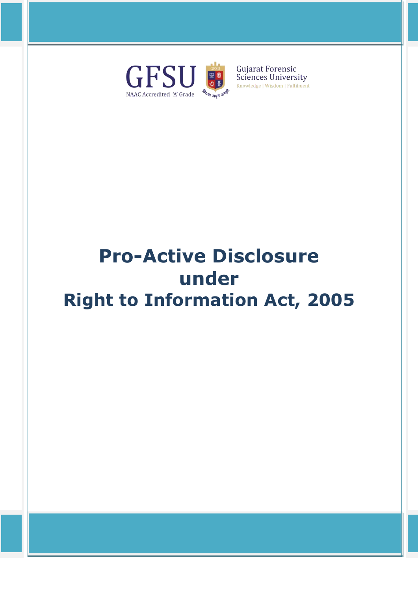

# **Pro-Active Disclosure under Right to Information Act, 2005**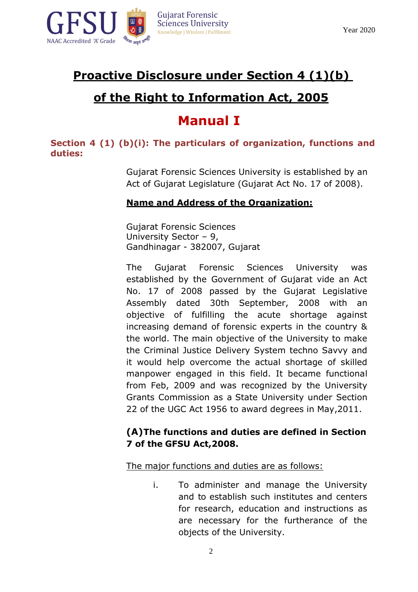

# **Proactive Disclosure under Section 4 (1)(b)**

# **of the Right to Information Act, 2005**

# **Manual I**

**Section 4 (1) (b)(i): The particulars of organization, functions and duties:**

> Gujarat Forensic Sciences University is established by an Act of Gujarat Legislature (Gujarat Act No. 17 of 2008).

## **Name and Address of the Organization:**

Gujarat Forensic Sciences University Sector – 9, Gandhinagar - 382007, Gujarat

The Gujarat Forensic Sciences University was established by the Government of Gujarat vide an Act No. 17 of 2008 passed by the Gujarat Legislative Assembly dated 30th September, 2008 with an objective of fulfilling the acute shortage against increasing demand of forensic experts in the country & the world. The main objective of the University to make the Criminal Justice Delivery System techno Savvy and it would help overcome the actual shortage of skilled manpower engaged in this field. It became functional from Feb, 2009 and was recognized by the University Grants Commission as a State University under Section 22 of the UGC Act 1956 to award degrees in May,2011.

#### **(A)The functions and duties are defined in Section 7 of the GFSU Act,2008.**

The major functions and duties are as follows:

i. To administer and manage the University and to establish such institutes and centers for research, education and instructions as are necessary for the furtherance of the objects of the University.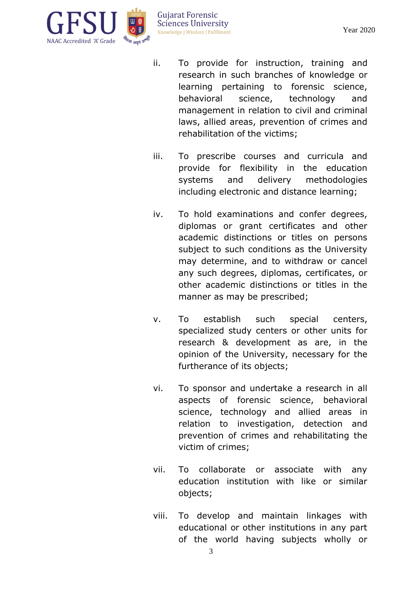

- ii. To provide for instruction, training and research in such branches of knowledge or learning pertaining to forensic science, behavioral science, technology and management in relation to civil and criminal laws, allied areas, prevention of crimes and rehabilitation of the victims;
- iii. To prescribe courses and curricula and provide for flexibility in the education systems and delivery methodologies including electronic and distance learning;
- iv. To hold examinations and confer degrees, diplomas or grant certificates and other academic distinctions or titles on persons subject to such conditions as the University may determine, and to withdraw or cancel any such degrees, diplomas, certificates, or other academic distinctions or titles in the manner as may be prescribed;
- v. To establish such special centers, specialized study centers or other units for research & development as are, in the opinion of the University, necessary for the furtherance of its objects;
- vi. To sponsor and undertake a research in all aspects of forensic science, behavioral science, technology and allied areas in relation to investigation, detection and prevention of crimes and rehabilitating the victim of crimes;
- vii. To collaborate or associate with any education institution with like or similar objects;
- viii. To develop and maintain linkages with educational or other institutions in any part of the world having subjects wholly or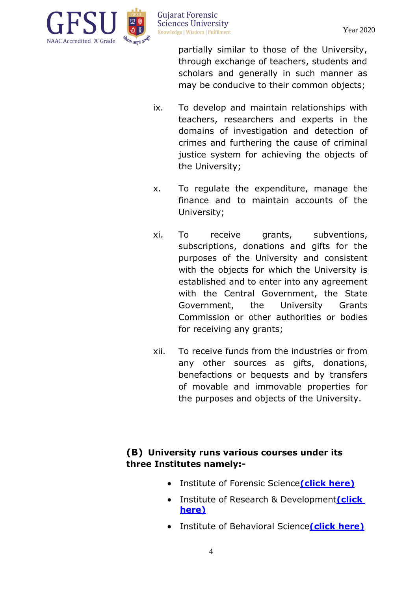

partially similar to those of the University, through exchange of teachers, students and scholars and generally in such manner as may be conducive to their common objects;

- ix. To develop and maintain relationships with teachers, researchers and experts in the domains of investigation and detection of crimes and furthering the cause of criminal justice system for achieving the objects of the University;
- x. To regulate the expenditure, manage the finance and to maintain accounts of the University;
- xi. To receive grants, subventions, subscriptions, donations and gifts for the purposes of the University and consistent with the objects for which the University is established and to enter into any agreement with the Central Government, the State Government, the University Grants Commission or other authorities or bodies for receiving any grants;
- xii. To receive funds from the industries or from any other sources as gifts, donations, benefactions or bequests and by transfers of movable and immovable properties for the purposes and objects of the University.

## **(B) University runs various courses under its three Institutes namely:-**

- Institute of Forensic Science**(click [here\)](http://www.gfsu.edu.in/institute-of-forensic-science/about-institute-ifs/)**
- **•** Institute of Research & Development*(click* **[here\)](http://www.gfsu.edu.in/institute-of-research-development/about-institute-ird/)**
- Institute of Behavioral Science**[\(click here\)](http://www.gfsu.edu.in/institute-of-behavioral-science/about-institute-ibs/)**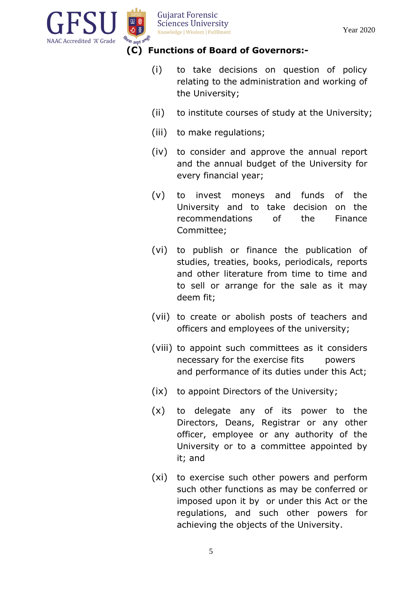

#### **(C) Functions of Board of Governors:-**

- (i) to take decisions on question of policy relating to the administration and working of the University;
- (ii) to institute courses of study at the University;
- (iii) to make regulations;
- (iv) to consider and approve the annual report and the annual budget of the University for every financial year;
- (v) to invest moneys and funds of the University and to take decision on the recommendations of the Finance Committee;
- (vi) to publish or finance the publication of studies, treaties, books, periodicals, reports and other literature from time to time and to sell or arrange for the sale as it may deem fit;
- (vii) to create or abolish posts of teachers and officers and employees of the university;
- (viii) to appoint such committees as it considers necessary for the exercise fits powers and performance of its duties under this Act;
- (ix) to appoint Directors of the University;
- (x) to delegate any of its power to the Directors, Deans, Registrar or any other officer, employee or any authority of the University or to a committee appointed by it; and
- (xi) to exercise such other powers and perform such other functions as may be conferred or imposed upon it by or under this Act or the regulations, and such other powers for achieving the objects of the University.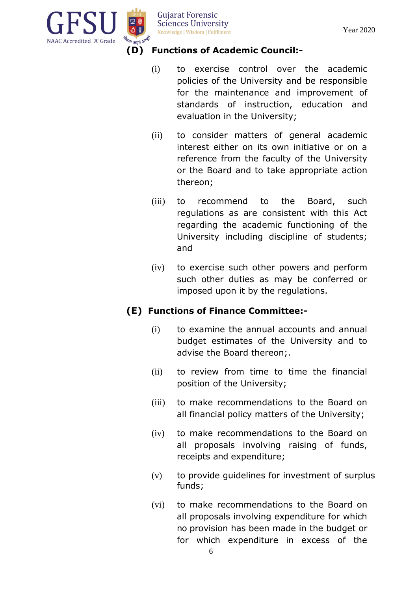

## **(D) Functions of Academic Council:-**

- (i) to exercise control over the academic policies of the University and be responsible for the maintenance and improvement of standards of instruction, education and evaluation in the University;
- (ii) to consider matters of general academic interest either on its own initiative or on a reference from the faculty of the University or the Board and to take appropriate action thereon;
- (iii) to recommend to the Board, such regulations as are consistent with this Act regarding the academic functioning of the University including discipline of students; and
- (iv) to exercise such other powers and perform such other duties as may be conferred or imposed upon it by the regulations.

## **(E) Functions of Finance Committee:-**

- (i) to examine the annual accounts and annual budget estimates of the University and to advise the Board thereon;.
- (ii) to review from time to time the financial position of the University;
- (iii) to make recommendations to the Board on all financial policy matters of the University;
- (iv) to make recommendations to the Board on all proposals involving raising of funds, receipts and expenditure;
- (v) to provide guidelines for investment of surplus funds;
- (vi) to make recommendations to the Board on all proposals involving expenditure for which no provision has been made in the budget or for which expenditure in excess of the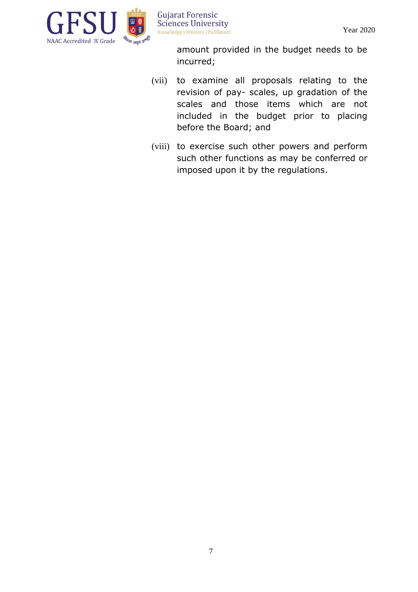

> amount provided in the budget needs to be incurred;

- (vii) to examine all proposals relating to the revision of pay- scales, up gradation of the scales and those items which are not included in the budget prior to placing before the Board; and
- (viii) to exercise such other powers and perform such other functions as may be conferred or imposed upon it by the regulations.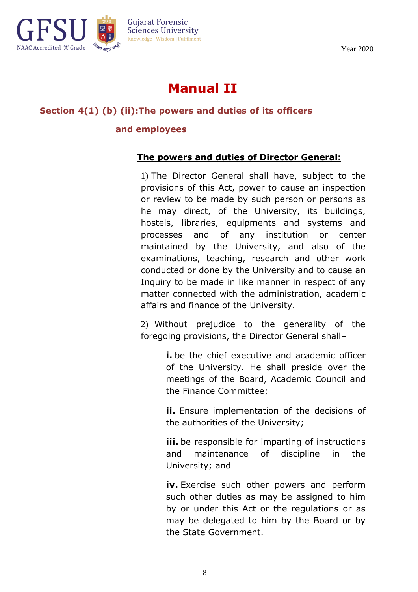

# **Manual II**

#### **Section 4(1) (b) (ii):The powers and duties of its officers**

#### **and employees**

#### **The powers and duties of Director General:**

1) The Director General shall have, subject to the provisions of this Act, power to cause an inspection or review to be made by such person or persons as he may direct, of the University, its buildings, hostels, libraries, equipments and systems and processes and of any institution or center maintained by the University, and also of the examinations, teaching, research and other work conducted or done by the University and to cause an Inquiry to be made in like manner in respect of any matter connected with the administration, academic affairs and finance of the University.

2) Without prejudice to the generality of the foregoing provisions, the Director General shall–

> **i.** be the chief executive and academic officer of the University. He shall preside over the meetings of the Board, Academic Council and the Finance Committee;

> **ii.** Ensure implementation of the decisions of the authorities of the University;

> **iii.** be responsible for imparting of instructions and maintenance of discipline in the University; and

> **iv.** Exercise such other powers and perform such other duties as may be assigned to him by or under this Act or the regulations or as may be delegated to him by the Board or by the State Government.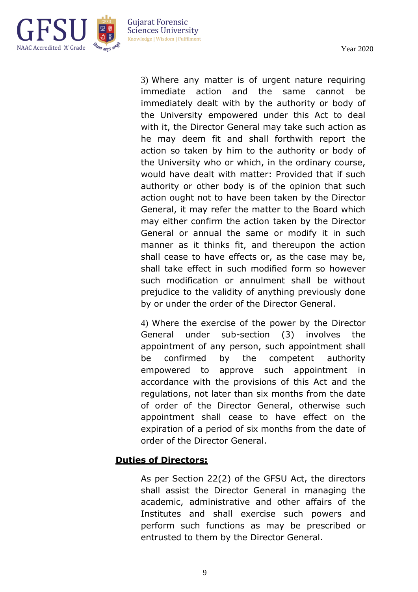

> 3) Where any matter is of urgent nature requiring immediate action and the same cannot be immediately dealt with by the authority or body of the University empowered under this Act to deal with it, the Director General may take such action as he may deem fit and shall forthwith report the action so taken by him to the authority or body of the University who or which, in the ordinary course, would have dealt with matter: Provided that if such authority or other body is of the opinion that such action ought not to have been taken by the Director General, it may refer the matter to the Board which may either confirm the action taken by the Director General or annual the same or modify it in such manner as it thinks fit, and thereupon the action shall cease to have effects or, as the case may be, shall take effect in such modified form so however such modification or annulment shall be without prejudice to the validity of anything previously done by or under the order of the Director General.

> 4) Where the exercise of the power by the Director General under sub-section (3) involves the appointment of any person, such appointment shall be confirmed by the competent authority empowered to approve such appointment in accordance with the provisions of this Act and the regulations, not later than six months from the date of order of the Director General, otherwise such appointment shall cease to have effect on the expiration of a period of six months from the date of order of the Director General.

#### **Duties of Directors:**

As per Section 22(2) of the GFSU Act, the directors shall assist the Director General in managing the academic, administrative and other affairs of the Institutes and shall exercise such powers and perform such functions as may be prescribed or entrusted to them by the Director General.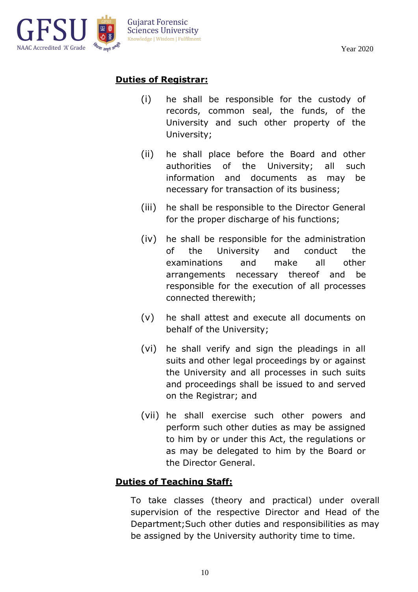

## **Duties of Registrar:**

- (i) he shall be responsible for the custody of records, common seal, the funds, of the University and such other property of the University;
- (ii) he shall place before the Board and other authorities of the University; all such information and documents as may be necessary for transaction of its business;
- (iii) he shall be responsible to the Director General for the proper discharge of his functions;
- (iv) he shall be responsible for the administration of the University and conduct the examinations and make all other arrangements necessary thereof and be responsible for the execution of all processes connected therewith;
- (v) he shall attest and execute all documents on behalf of the University;
- (vi) he shall verify and sign the pleadings in all suits and other legal proceedings by or against the University and all processes in such suits and proceedings shall be issued to and served on the Registrar; and
- (vii) he shall exercise such other powers and perform such other duties as may be assigned to him by or under this Act, the regulations or as may be delegated to him by the Board or the Director General.

## **Duties of Teaching Staff:**

To take classes (theory and practical) under overall supervision of the respective Director and Head of the Department;Such other duties and responsibilities as may be assigned by the University authority time to time.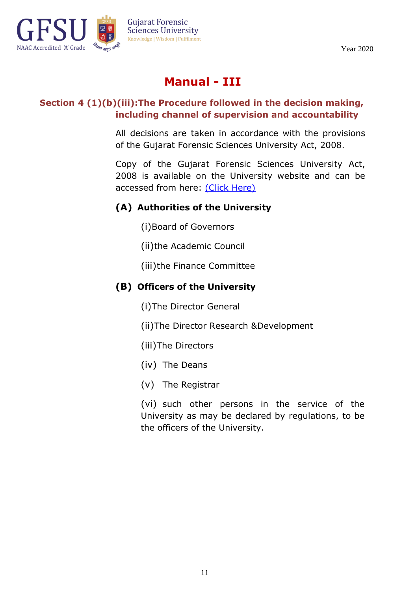

# **Manual - III**

#### **Section 4 (1)(b)(iii):The Procedure followed in the decision making, including channel of supervision and accountability**

All decisions are taken in accordance with the provisions of the Gujarat Forensic Sciences University Act, 2008.

Copy of the Gujarat Forensic Sciences University Act, 2008 is available on the University website and can be accessed from here: [\(Click Here\)](https://www.gfsu.edu.in/gfsu-act-2008/)

## **(A) Authorities of the University**

- (i)Board of Governors
- (ii)the Academic Council
- (iii)the Finance Committee

## **(B) Officers of the University**

(i)The Director General

- (ii)The Director Research &Development
- (iii)The Directors
- (iv) The Deans
- (v) The Registrar

(vi) such other persons in the service of the University as may be declared by regulations, to be the officers of the University.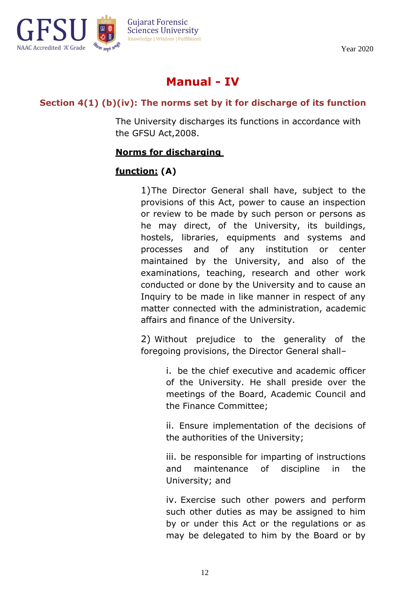

# **Manual - IV**

## **Section 4(1) (b)(iv): The norms set by it for discharge of its function**

The University discharges its functions in accordance with the GFSU Act,2008.

#### **Norms for discharging**

## **function: (A)**

1)The Director General shall have, subject to the provisions of this Act, power to cause an inspection or review to be made by such person or persons as he may direct, of the University, its buildings, hostels, libraries, equipments and systems and processes and of any institution or center maintained by the University, and also of the examinations, teaching, research and other work conducted or done by the University and to cause an Inquiry to be made in like manner in respect of any matter connected with the administration, academic affairs and finance of the University.

2) Without prejudice to the generality of the foregoing provisions, the Director General shall–

> i. be the chief executive and academic officer of the University. He shall preside over the meetings of the Board, Academic Council and the Finance Committee;

> ii. Ensure implementation of the decisions of the authorities of the University;

> iii. be responsible for imparting of instructions and maintenance of discipline in the University; and

> iv. Exercise such other powers and perform such other duties as may be assigned to him by or under this Act or the regulations or as may be delegated to him by the Board or by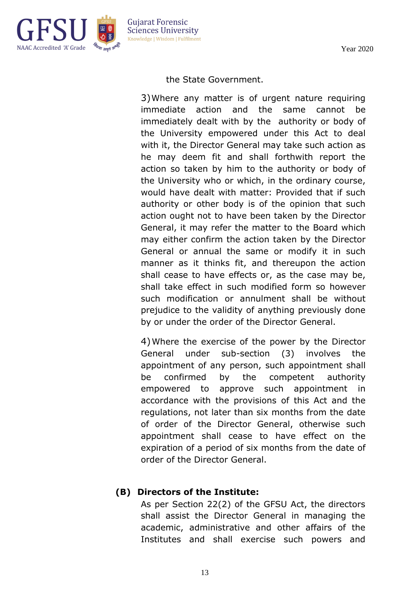

**Guiarat Forensic Sciences University** Knowledge | Wisdom | Fulfilment

the State Government.

3)Where any matter is of urgent nature requiring immediate action and the same cannot be immediately dealt with by the authority or body of the University empowered under this Act to deal with it, the Director General may take such action as he may deem fit and shall forthwith report the action so taken by him to the authority or body of the University who or which, in the ordinary course, would have dealt with matter: Provided that if such authority or other body is of the opinion that such action ought not to have been taken by the Director General, it may refer the matter to the Board which may either confirm the action taken by the Director General or annual the same or modify it in such manner as it thinks fit, and thereupon the action shall cease to have effects or, as the case may be, shall take effect in such modified form so however such modification or annulment shall be without prejudice to the validity of anything previously done by or under the order of the Director General.

4)Where the exercise of the power by the Director General under sub-section (3) involves the appointment of any person, such appointment shall be confirmed by the competent authority empowered to approve such appointment in accordance with the provisions of this Act and the regulations, not later than six months from the date of order of the Director General, otherwise such appointment shall cease to have effect on the expiration of a period of six months from the date of order of the Director General.

## **(B) Directors of the Institute:**

As per Section 22(2) of the GFSU Act, the directors shall assist the Director General in managing the academic, administrative and other affairs of the Institutes and shall exercise such powers and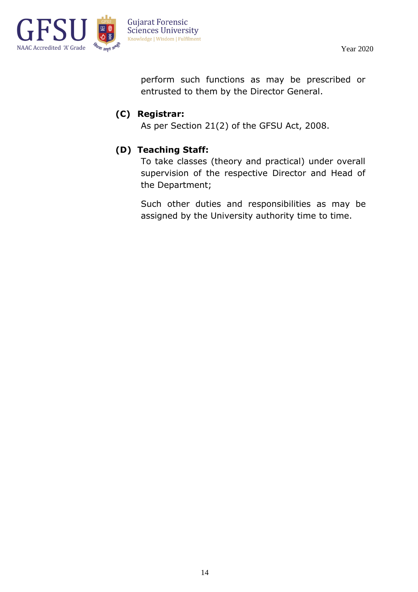

perform such functions as may be prescribed or entrusted to them by the Director General.

## **(C) Registrar:**

As per Section 21(2) of the GFSU Act, 2008.

## **(D) Teaching Staff:**

To take classes (theory and practical) under overall supervision of the respective Director and Head of the Department;

Such other duties and responsibilities as may be assigned by the University authority time to time.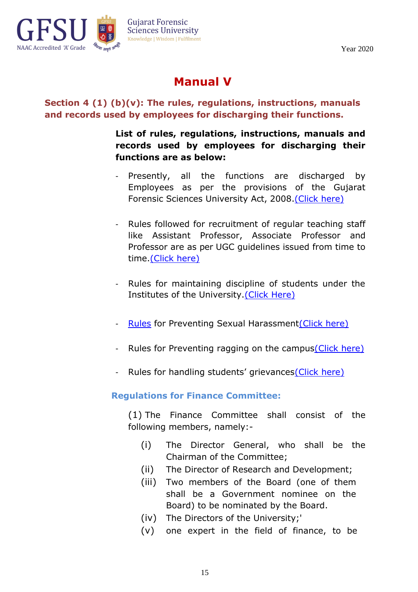

# **Manual V**

## **Section 4 (1) (b)(v): The rules, regulations, instructions, manuals and records used by employees for discharging their functions.**

**List of rules, regulations, instructions, manuals and records used by employees for discharging their functions are as below:**

- Presently, all the functions are discharged by Employees as per the provisions of the Gujarat Forensic Sciences University Act, 2008[.\(Click](https://www.gfsu.edu.in/gfsu-act-2008/) here)
- Rules followed for recruitment of regular teaching staff like Assistant Professor, Associate Professor and Professor are as per UGC guidelines issued from time to time[.\(Click](https://www.ugc.ac.in/pdfnews/4033931_UGC-Regulation_min_Qualification_Jul2018.pdf) here)
- Rules for maintaining discipline of students under the Institutes of the University[.\(Click](http://www.gfsu.edu.in/wp-content/uploads/2019/02/Student-Discipline-Regulations.pdf) Here)
- [Rules](https://www.gfsu.edu.in/gender-sensitivity/) for Preventing Sexual Harassmen[t\(Click](https://www.ugc.ac.in/pdfnews/7203627_UGC_regulations-harassment.pdf) here)
- Rules for Preventing ragging on the campu[s\(Click](https://www.ugc.ac.in/page/Ragging-Related-Circulars.aspx) here)
- Rules for handling students' grievances [\(Click](https://www.ugc.ac.in/ugc_notices.aspx?id=320) here)

#### **Regulations for Finance Committee:**

(1) The Finance Committee shall consist of the following members, namely:-

- (i) The Director General, who shall be the Chairman of the Committee;
- (ii) The Director of Research and Development;
- (iii) Two members of the Board (one of them shall be a Government nominee on the Board) to be nominated by the Board.
- (iv) The Directors of the University;'
- (v) one expert in the field of finance, to be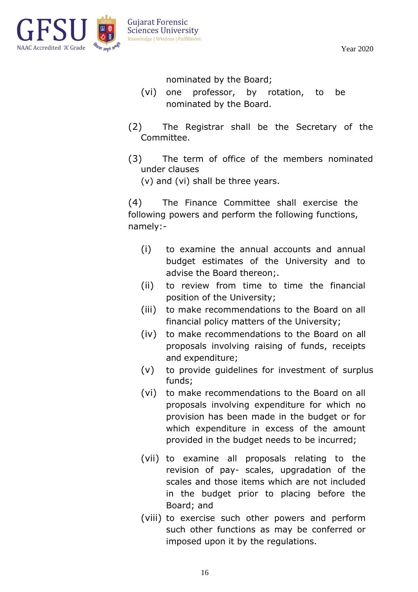

nominated by the Board;

- (vi) one professor, by rotation, to be nominated by the Board.
- (2) The Registrar shall be the Secretary of the Committee.
- (3) The term of office of the members nominated under clauses

(v) and (vi) shall be three years.

(4) The Finance Committee shall exercise the following powers and perform the following functions, namely:-

- (i) to examine the annual accounts and annual budget estimates of the University and to advise the Board thereon;.
- (ii) to review from time to time the financial position of the University;
- (iii) to make recommendations to the Board on all financial policy matters of the University;
- (iv) to make recommendations to the Board on all proposals involving raising of funds, receipts and expenditure;
- (v) to provide guidelines for investment of surplus funds;
- (vi) to make recommendations to the Board on all proposals involving expenditure for which no provision has been made in the budget or for which expenditure in excess of the amount provided in the budget needs to be incurred;
- (vii) to examine all proposals relating to the revision of pay- scales, upgradation of the scales and those items which are not included in the budget prior to placing before the Board; and
- (viii) to exercise such other powers and perform such other functions as may be conferred or imposed upon it by the regulations.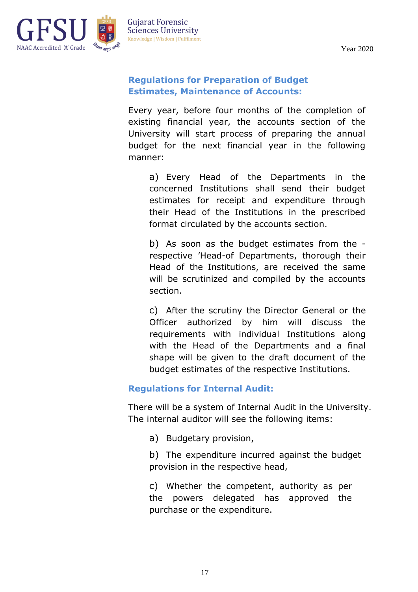

## **Regulations for Preparation of Budget Estimates, Maintenance of Accounts:**

Every year, before four months of the completion of existing financial year, the accounts section of the University will start process of preparing the annual budget for the next financial year in the following manner:

a) Every Head of the Departments in the concerned Institutions shall send their budget estimates for receipt and expenditure through their Head of the Institutions in the prescribed format circulated by the accounts section.

b) As soon as the budget estimates from the respective 'Head-of Departments, thorough their Head of the Institutions, are received the same will be scrutinized and compiled by the accounts section.

c) After the scrutiny the Director General or the Officer authorized by him will discuss the requirements with individual Institutions along with the Head of the Departments and a final shape will be given to the draft document of the budget estimates of the respective Institutions.

## **Regulations for Internal Audit:**

There will be a system of Internal Audit in the University. The internal auditor will see the following items:

a) Budgetary provision,

b) The expenditure incurred against the budget provision in the respective head,

c) Whether the competent, authority as per the powers delegated has approved the purchase or the expenditure.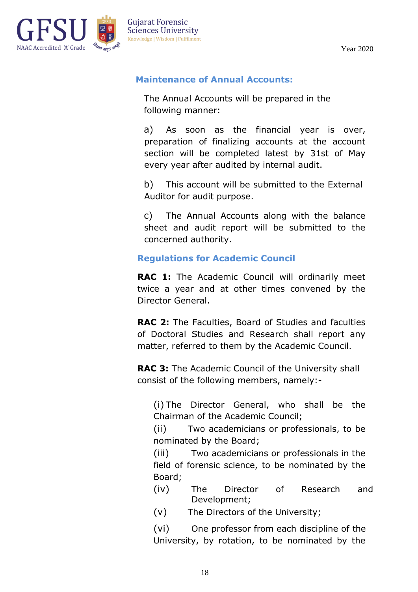

#### **Maintenance of Annual Accounts:**

The Annual Accounts will be prepared in the following manner:

a) As soon as the financial year is over, preparation of finalizing accounts at the account section will be completed latest by 31st of May every year after audited by internal audit.

b) This account will be submitted to the External Auditor for audit purpose.

c) The Annual Accounts along with the balance sheet and audit report will be submitted to the concerned authority.

#### **Regulations for Academic Council**

**RAC 1:** The Academic Council will ordinarily meet twice a year and at other times convened by the Director General.

**RAC 2:** The Faculties, Board of Studies and faculties of Doctoral Studies and Research shall report any matter, referred to them by the Academic Council.

**RAC 3:** The Academic Council of the University shall consist of the following members, namely:-

(i) The Director General, who shall be the Chairman of the Academic Council;

(ii) Two academicians or professionals, to be nominated by the Board;

(iii) Two academicians or professionals in the field of forensic science, to be nominated by the Board;

(iv) The Director of Research and Development;

(v) The Directors of the University;

(vi) One professor from each discipline of the University, by rotation, to be nominated by the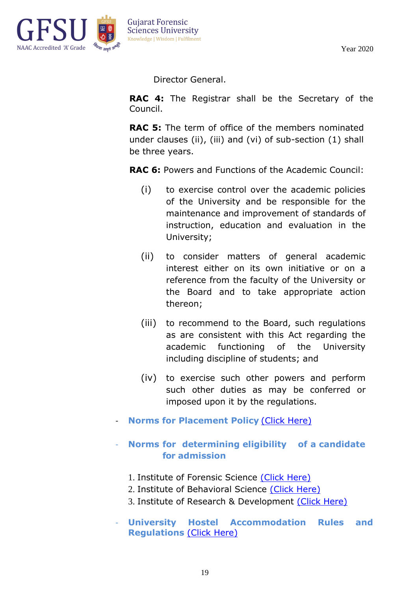

Director General.

**RAC 4:** The Registrar shall be the Secretary of the Council.

**RAC 5:** The term of office of the members nominated under clauses (ii), (iii) and (vi) of sub-section (1) shall be three years.

**RAC 6:** Powers and Functions of the Academic Council:

- (i) to exercise control over the academic policies of the University and be responsible for the maintenance and improvement of standards of instruction, education and evaluation in the University;
- (ii) to consider matters of general academic interest either on its own initiative or on a reference from the faculty of the University or the Board and to take appropriate action thereon;
- (iii) to recommend to the Board, such regulations as are consistent with this Act regarding the academic functioning of the University including discipline of students; and
- (iv) to exercise such other powers and perform such other duties as may be conferred or imposed upon it by the regulations.
- **Norms for Placement Policy [\(Click Here\)](https://www.gfsu.edu.in/training-and-placement/)**

#### - **Norms for determining eligibility of a candidate for admission**

- 1. Institute of Forensic Science (Click [Here\)](https://www.gfsu.edu.in/institute-of-forensic-science/programs-ifs/)
- 2. Institute of Behavioral Science (Click [Here\)](https://www.gfsu.edu.in/institute-of-behavioral-science/programs-ibs/)
- 3. Institute of Research & Development (Click [Here\)](https://www.gfsu.edu.in/institute-of-research-development/programs-ird/)
- **University Hostel Accommodation Rules and Regulations** (Click [Here\)](https://www.gfsu.edu.in/university-accommodation/)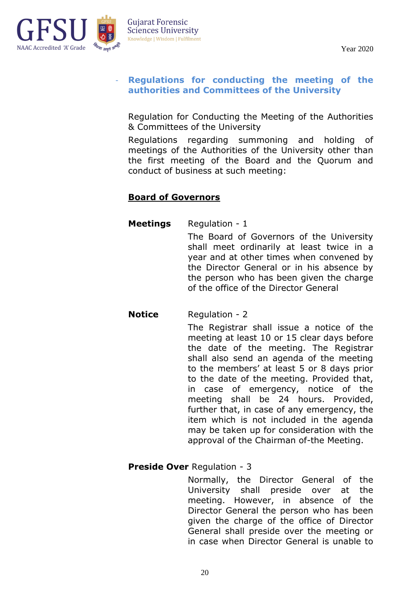



#### - **Regulations for conducting the meeting of the authorities and Committees of the University**

Regulation for Conducting the Meeting of the Authorities & Committees of the University

Regulations regarding summoning and holding of meetings of the Authorities of the University other than the first meeting of the Board and the Quorum and conduct of business at such meeting:

## **Board of Governors**

#### **Meetings** Regulation - 1

The Board of Governors of the University shall meet ordinarily at least twice in a year and at other times when convened by the Director General or in his absence by the person who has been given the charge of the office of the Director General

## **Notice** Regulation - 2

The Registrar shall issue a notice of the meeting at least 10 or 15 clear days before the date of the meeting. The Registrar shall also send an agenda of the meeting to the members' at least 5 or 8 days prior to the date of the meeting. Provided that, in case of emergency, notice of the meeting shall be 24 hours. Provided, further that, in case of any emergency, the item which is not included in the agenda may be taken up for consideration with the approval of the Chairman of-the Meeting.

#### **Preside Over** Regulation - 3

Normally, the Director General of the University shall preside over at the meeting. However, in absence of the Director General the person who has been given the charge of the office of Director General shall preside over the meeting or in case when Director General is unable to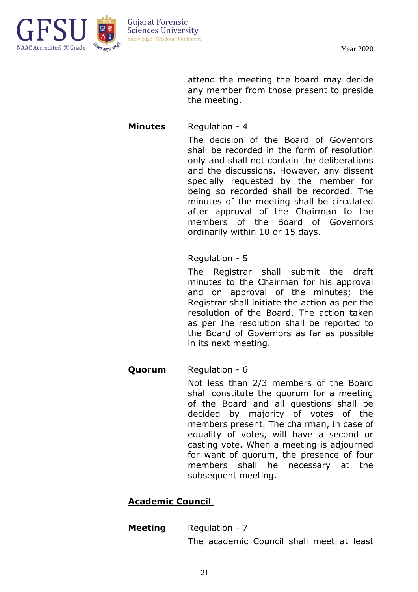



> attend the meeting the board may decide any member from those present to preside the meeting.

#### **Minutes** Regulation - 4

The decision of the Board of Governors shall be recorded in the form of resolution only and shall not contain the deliberations and the discussions. However, any dissent specially requested by the member for being so recorded shall be recorded. The minutes of the meeting shall be circulated after approval of the Chairman to the members of the Board of Governors ordinarily within 10 or 15 days.

#### Regulation - 5

The Registrar shall submit the draft minutes to the Chairman for his approval and on approval of the minutes; the Registrar shall initiate the action as per the resolution of the Board. The action taken as per Ihe resolution shall be reported to the Board of Governors as far as possible in its next meeting.

#### **Quorum** Regulation - 6

Not less than 2/3 members of the Board shall constitute the quorum for a meeting of the Board and all questions shall be decided by majority of votes of the members present. The chairman, in case of equality of votes, will have a second or casting vote. When a meeting is adjourned for want of quorum, the presence of four members shall he necessary at the subsequent meeting.

#### **Academic Council**

## **Meeting** Regulation - 7

The academic Council shall meet at least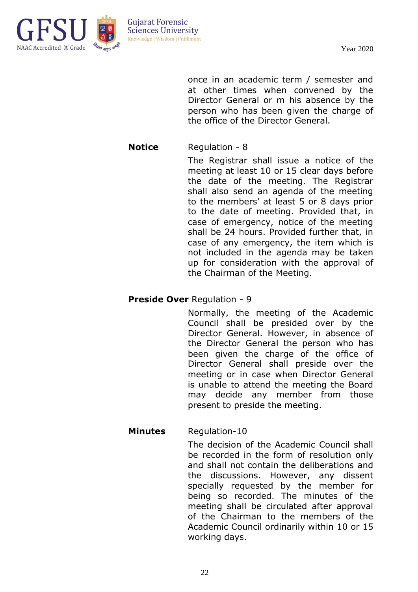

**Guiarat Forensic Sciences University** Knowledge | Wisdom | Fulfilment

> once in an academic term / semester and at other times when convened by the Director General or m his absence by the person who has been given the charge of the office of the Director General.

#### **Notice** Regulation - 8

The Registrar shall issue a notice of the meeting at least 10 or 15 clear days before the date of the meeting. The Registrar shall also send an agenda of the meeting to the members' at least 5 or 8 days prior to the date of meeting. Provided that, in case of emergency, notice of the meeting shall be 24 hours. Provided further that, in case of any emergency, the item which is not included in the agenda may be taken up for consideration with the approval of the Chairman of the Meeting.

#### **Preside Over** Regulation - 9

Normally, the meeting of the Academic Council shall be presided over by the Director General. However, in absence of the Director General the person who has been given the charge of the office of Director General shall preside over the meeting or in case when Director General is unable to attend the meeting the Board may decide any member from those present to preside the meeting.

#### **Minutes** Regulation-10

The decision of the Academic Council shall be recorded in the form of resolution only and shall not contain the deliberations and the discussions. However, any dissent specially requested by the member for being so recorded. The minutes of the meeting shall be circulated after approval of the Chairman to the members of the Academic Council ordinarily within 10 or 15 working days.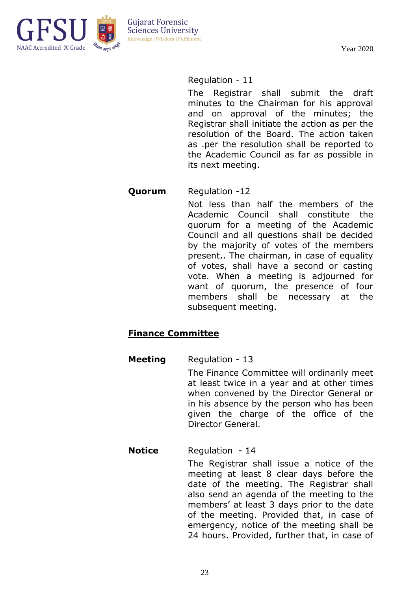

#### Regulation - 11

The Registrar shall submit the draft minutes to the Chairman for his approval and on approval of the minutes; the Registrar shall initiate the action as per the resolution of the Board. The action taken as .per the resolution shall be reported to the Academic Council as far as possible in its next meeting.

#### **Quorum** Regulation -12

Not less than half the members of the Academic Council shall constitute the quorum for a meeting of the Academic Council and all questions shall be decided by the majority of votes of the members present.. The chairman, in case of equality of votes, shall have a second or casting vote. When a meeting is adjourned for want of quorum, the presence of four members shall be necessary at the subsequent meeting.

#### **Finance Committee**

#### **Meeting** Regulation - 13

The Finance Committee will ordinarily meet at least twice in a year and at other times when convened by the Director General or in his absence by the person who has been given the charge of the office of the Director General.

#### **Notice** Regulation - 14

The Registrar shall issue a notice of the meeting at least 8 clear days before the date of the meeting. The Registrar shall also send an agenda of the meeting to the members' at least 3 days prior to the date of the meeting. Provided that, in case of emergency, notice of the meeting shall be 24 hours. Provided, further that, in case of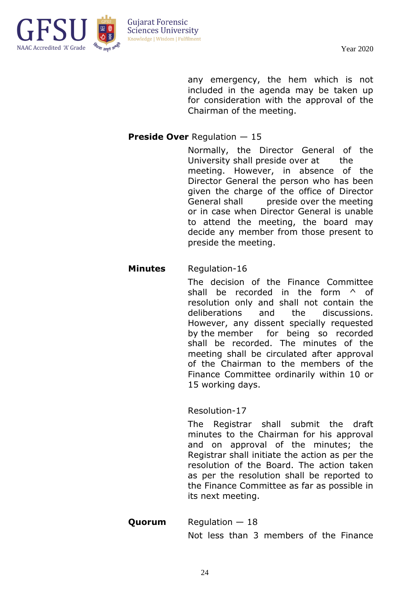

any emergency, the hem which is not included in the agenda may be taken up for consideration with the approval of the Chairman of the meeting.

#### **Preside Over** Regulation — 15

Normally, the Director General of the University shall preside over at the meeting. However, in absence of the Director General the person who has been given the charge of the office of Director General shall preside over the meeting or in case when Director General is unable to attend the meeting, the board may decide any member from those present to preside the meeting.

#### **Minutes** Regulation-16

The decision of the Finance Committee shall be recorded in the form  $\wedge$  of resolution only and shall not contain the deliberations and the discussions. However, any dissent specially requested by the member for being so recorded shall be recorded. The minutes of the meeting shall be circulated after approval of the Chairman to the members of the Finance Committee ordinarily within 10 or 15 working days.

Resolution-17

The Registrar shall submit the draft minutes to the Chairman for his approval and on approval of the minutes; the Registrar shall initiate the action as per the resolution of the Board. The action taken as per the resolution shall be reported to the Finance Committee as far as possible in its next meeting.

**Quorum** Regulation – 18 Not less than 3 members of the Finance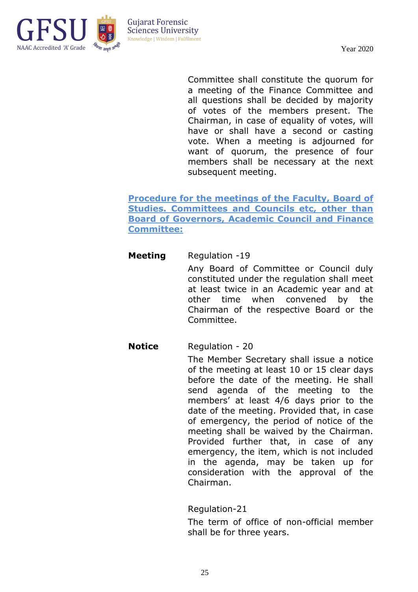

Committee shall constitute the quorum for a meeting of the Finance Committee and all questions shall be decided by majority of votes of the members present. The Chairman, in case of equality of votes, will have or shall have a second or casting vote. When a meeting is adjourned for want of quorum, the presence of four members shall be necessary at the next subsequent meeting.

**Procedure for the meetings of the Faculty, Board of Studies. Committees and Councils etc. other than Board of Governors, Academic Council and Finance Committee:**

#### **Meeting** Regulation -19

Any Board of Committee or Council duly constituted under the regulation shall meet at least twice in an Academic year and at other time when convened by the Chairman of the respective Board or the Committee.

#### **Notice** Regulation - 20

The Member Secretary shall issue a notice of the meeting at least 10 or 15 clear days before the date of the meeting. He shall send agenda of the meeting to the members' at least 4/6 days prior to the date of the meeting. Provided that, in case of emergency, the period of notice of the meeting shall be waived by the Chairman. Provided further that, in case of any emergency, the item, which is not included in the agenda, may be taken up for consideration with the approval of the Chairman.

Regulation-21

The term of office of non-official member shall be for three years.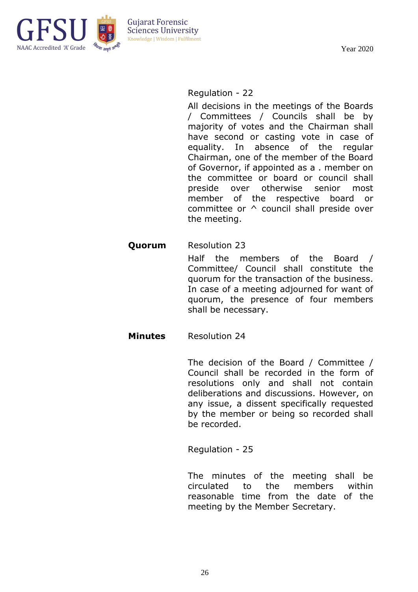

#### Regulation - 22

All decisions in the meetings of the Boards / Committees / Councils shall be by majority of votes and the Chairman shall have second or casting vote in case of equality. In absence of the regular Chairman, one of the member of the Board of Governor, if appointed as a . member on the committee or board or council shall preside over otherwise senior most member of the respective board or committee or ^ council shall preside over the meeting.

#### **Quorum** Resolution 23

Half the members of the Board / Committee/ Council shall constitute the quorum for the transaction of the business. In case of a meeting adjourned for want of quorum, the presence of four members shall be necessary.

#### **Minutes** Resolution 24

The decision of the Board / Committee / Council shall be recorded in the form of resolutions only and shall not contain deliberations and discussions. However, on any issue, a dissent specifically requested by the member or being so recorded shall be recorded.

Regulation - 25

The minutes of the meeting shall be circulated to the members within reasonable time from the date of the meeting by the Member Secretary.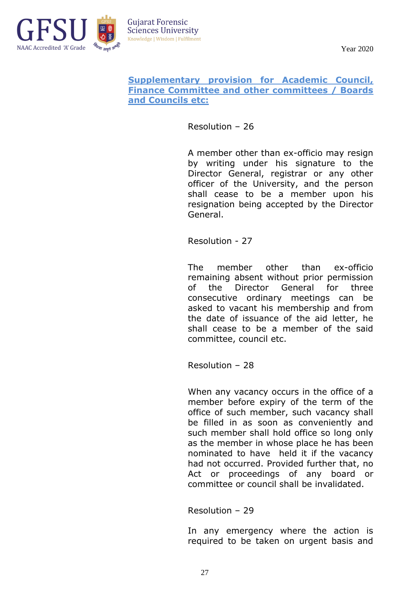

#### **Supplementary provision for Academic Council, Finance Committee and other committees / Boards and Councils etc:**

Resolution – 26

A member other than ex-officio may resign by writing under his signature to the Director General, registrar or any other officer of the University, and the person shall cease to be a member upon his resignation being accepted by the Director General.

Resolution - 27

The member other than ex-officio remaining absent without prior permission of the Director General for three consecutive ordinary meetings can be asked to vacant his membership and from the date of issuance of the aid letter, he shall cease to be a member of the said committee, council etc.

Resolution – 28

When any vacancy occurs in the office of a member before expiry of the term of the office of such member, such vacancy shall be filled in as soon as conveniently and such member shall hold office so long only as the member in whose place he has been nominated to have held it if the vacancy had not occurred. Provided further that, no Act or proceedings of any board or committee or council shall be invalidated.

Resolution – 29

In any emergency where the action is required to be taken on urgent basis and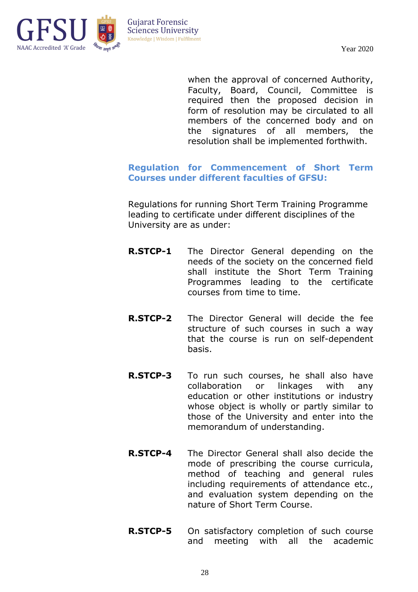

when the approval of concerned Authority, Faculty, Board, Council, Committee is required then the proposed decision in form of resolution may be circulated to all members of the concerned body and on the signatures of all members, the resolution shall be implemented forthwith.

#### **Regulation for Commencement of Short Term Courses under different faculties of GFSU:**

Regulations for running Short Term Training Programme leading to certificate under different disciplines of the University are as under:

- **R.STCP-1** The Director General depending on the needs of the society on the concerned field shall institute the Short Term Training Programmes leading to the certificate courses from time to time.
- **R.STCP-2** The Director General will decide the fee structure of such courses in such a way that the course is run on self-dependent basis.
- **R.STCP-3** To run such courses, he shall also have collaboration or linkages with any education or other institutions or industry whose object is wholly or partly similar to those of the University and enter into the memorandum of understanding.
- **R.STCP-4** The Director General shall also decide the mode of prescribing the course curricula, method of teaching and general rules including requirements of attendance etc., and evaluation system depending on the nature of Short Term Course.
- **R.STCP-5** On satisfactory completion of such course and meeting with all the academic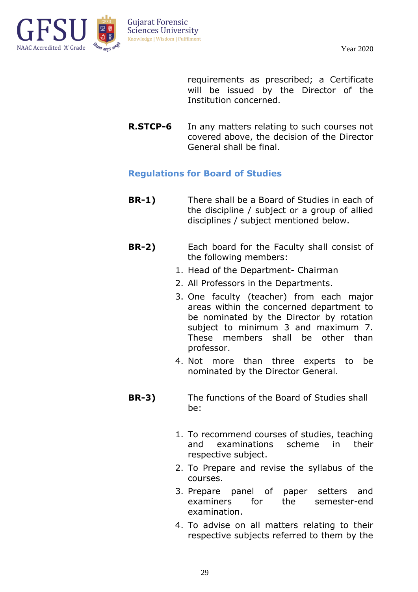

requirements as prescribed; a Certificate will be issued by the Director of the Institution concerned.

**R.STCP-6** In any matters relating to such courses not covered above, the decision of the Director General shall be final.

#### **Regulations for Board of Studies**

- **BR-1)** There shall be a Board of Studies in each of the discipline / subject or a group of allied disciplines / subject mentioned below.
- **BR-2)** Each board for the Faculty shall consist of the following members:
	- 1. Head of the Department- Chairman
	- 2. All Professors in the Departments.
	- 3. One faculty (teacher) from each major areas within the concerned department to be nominated by the Director by rotation subject to minimum 3 and maximum 7. These members shall be other than professor.
	- 4. Not more than three experts to be nominated by the Director General.
- **BR-3)** The functions of the Board of Studies shall be:
	- 1. To recommend courses of studies, teaching and examinations scheme in their respective subject.
	- 2. To Prepare and revise the syllabus of the courses.
	- 3. Prepare panel of paper setters and examiners for the semester-end examination.
	- 4. To advise on all matters relating to their respective subjects referred to them by the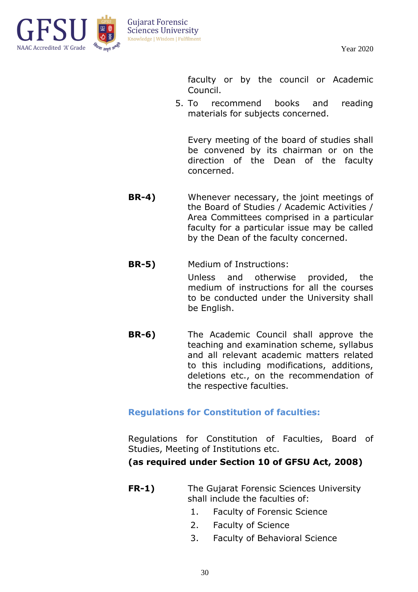

faculty or by the council or Academic Council.

5. To recommend books and reading materials for subjects concerned.

Every meeting of the board of studies shall be convened by its chairman or on the direction of the Dean of the faculty concerned.

- **BR-4)** Whenever necessary, the joint meetings of the Board of Studies / Academic Activities / Area Committees comprised in a particular faculty for a particular issue may be called by the Dean of the faculty concerned.
- **BR-5)** Medium of Instructions:

Unless and otherwise provided, the medium of instructions for all the courses to be conducted under the University shall be English.

**BR-6)** The Academic Council shall approve the teaching and examination scheme, syllabus and all relevant academic matters related to this including modifications, additions, deletions etc., on the recommendation of the respective faculties.

#### **Regulations for Constitution of faculties:**

Regulations for Constitution of Faculties, Board of Studies, Meeting of Institutions etc.

**(as required under Section 10 of GFSU Act, 2008)**

- **FR-1)** The Gujarat Forensic Sciences University shall include the faculties of:
	- 1. Faculty of Forensic Science
	- 2. Faculty of Science
	- 3. Faculty of Behavioral Science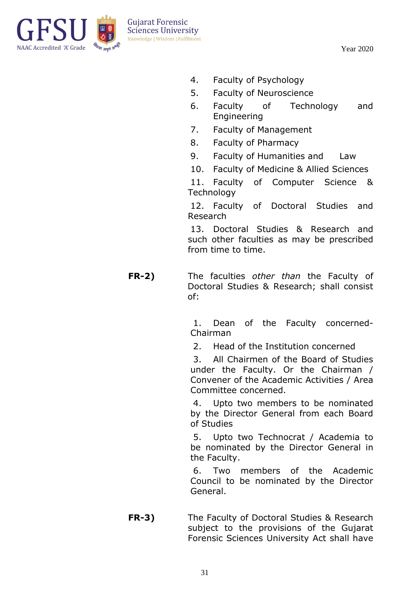

- 4. Faculty of Psychology
- 5. Faculty of Neuroscience
- 6. Faculty of Technology and Engineering
- 7. Faculty of Management
- 8. Faculty of Pharmacy
- 9. Faculty of Humanities and Law
- 10. Faculty of Medicine & Allied Sciences

11. Faculty of Computer Science & **Technology** 

12. Faculty of Doctoral Studies and Research

13. Doctoral Studies & Research and such other faculties as may be prescribed from time to time.

**FR-2)** The faculties *other than* the Faculty of Doctoral Studies & Research; shall consist of:

> 1. Dean of the Faculty concerned-Chairman

2. Head of the Institution concerned

3. All Chairmen of the Board of Studies under the Faculty. Or the Chairman / Convener of the Academic Activities / Area Committee concerned.

4. Upto two members to be nominated by the Director General from each Board of Studies

5. Upto two Technocrat / Academia to be nominated by the Director General in the Faculty.

6. Two members of the Academic Council to be nominated by the Director General.

**FR-3)** The Faculty of Doctoral Studies & Research subject to the provisions of the Gujarat Forensic Sciences University Act shall have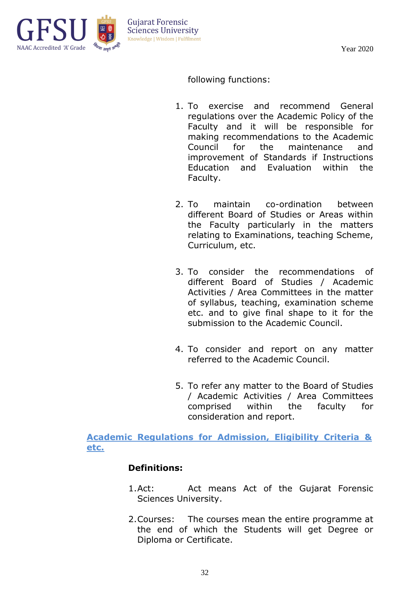

following functions:

- 1. To exercise and recommend General regulations over the Academic Policy of the Faculty and it will be responsible for making recommendations to the Academic Council for the maintenance and improvement of Standards if Instructions Education and Evaluation within the Faculty.
- 2. To maintain co-ordination between different Board of Studies or Areas within the Faculty particularly in the matters relating to Examinations, teaching Scheme, Curriculum, etc.
- 3. To consider the recommendations of different Board of Studies / Academic Activities / Area Committees in the matter of syllabus, teaching, examination scheme etc. and to give final shape to it for the submission to the Academic Council.
- 4. To consider and report on any matter referred to the Academic Council.
- 5. To refer any matter to the Board of Studies / Academic Activities / Area Committees comprised within the faculty for consideration and report.

**Academic Regulations for Admission, Eligibility Criteria & etc.**

#### **Definitions:**

- 1.Act: Act means Act of the Gujarat Forensic Sciences University.
- 2.Courses: The courses mean the entire programme at the end of which the Students will get Degree or Diploma or Certificate.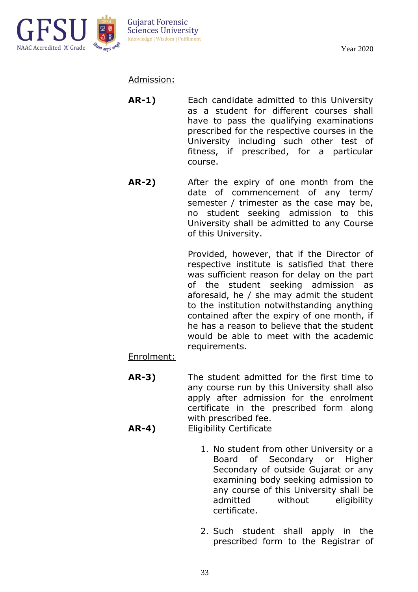

Admission:

- **AR-1)** Each candidate admitted to this University as a student for different courses shall have to pass the qualifying examinations prescribed for the respective courses in the University including such other test of fitness, if prescribed, for a particular course.
- **AR-2)** After the expiry of one month from the date of commencement of any term/ semester / trimester as the case may be, no student seeking admission to this University shall be admitted to any Course of this University.

Provided, however, that if the Director of respective institute is satisfied that there was sufficient reason for delay on the part of the student seeking admission as aforesaid, he / she may admit the student to the institution notwithstanding anything contained after the expiry of one month, if he has a reason to believe that the student would be able to meet with the academic requirements.

Enrolment:

- **AR-3)** The student admitted for the first time to any course run by this University shall also apply after admission for the enrolment certificate in the prescribed form along with prescribed fee. **AR-4)** Eligibility Certificate
	- 1. No student from other University or a Board of Secondary or Higher Secondary of outside Gujarat or any examining body seeking admission to any course of this University shall be admitted without eligibility certificate.
	- 2. Such student shall apply in the prescribed form to the Registrar of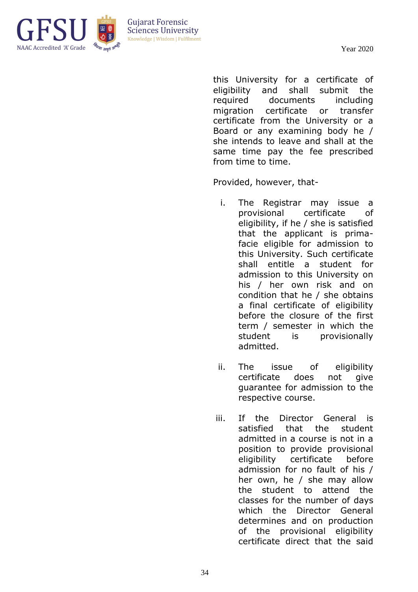

this University for a certificate of eligibility and shall submit the required documents including migration certificate or transfer certificate from the University or a Board or any examining body he / she intends to leave and shall at the same time pay the fee prescribed from time to time.

Provided, however, that-

- i. The Registrar may issue a provisional certificate of eligibility, if he / she is satisfied that the applicant is primafacie eligible for admission to this University. Such certificate shall entitle a student for admission to this University on his / her own risk and on condition that he / she obtains a final certificate of eligibility before the closure of the first term / semester in which the student is provisionally admitted.
- ii. The issue of eligibility certificate does not give guarantee for admission to the respective course.
- iii. If the Director General is satisfied that the student admitted in a course is not in a position to provide provisional eligibility certificate before admission for no fault of his / her own, he / she may allow the student to attend the classes for the number of days which the Director General determines and on production of the provisional eligibility certificate direct that the said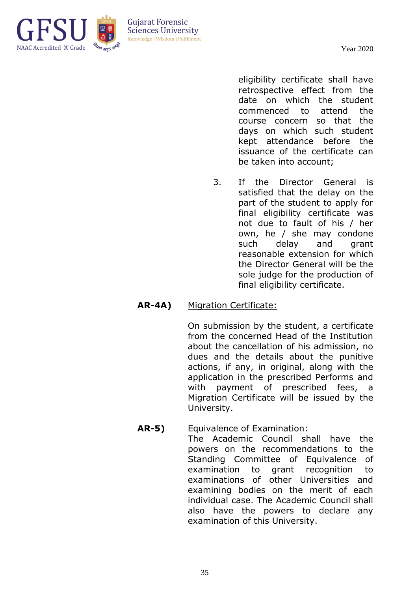

eligibility certificate shall have retrospective effect from the date on which the student commenced to attend the course concern so that the days on which such student kept attendance before the issuance of the certificate can be taken into account;

3. If the Director General is satisfied that the delay on the part of the student to apply for final eligibility certificate was not due to fault of his / her own, he / she may condone such delay and grant reasonable extension for which the Director General will be the sole judge for the production of final eligibility certificate.

#### **AR-4A)** Migration Certificate:

On submission by the student, a certificate from the concerned Head of the Institution about the cancellation of his admission, no dues and the details about the punitive actions, if any, in original, along with the application in the prescribed Performs and with payment of prescribed fees, a Migration Certificate will be issued by the University.

**AR-5)** Equivalence of Examination: The Academic Council shall have the powers on the recommendations to the Standing Committee of Equivalence of examination to grant recognition to examinations of other Universities and examining bodies on the merit of each individual case. The Academic Council shall also have the powers to declare any examination of this University.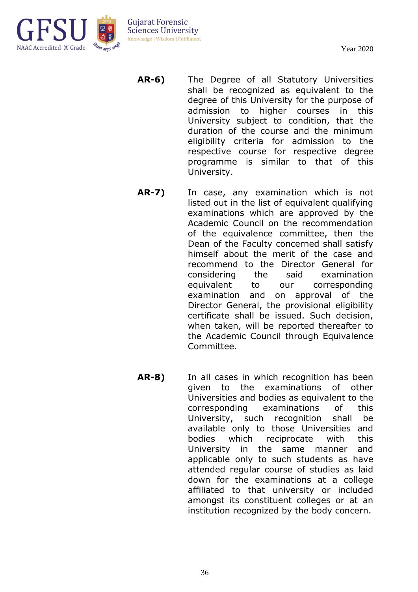

- **AR-6)** The Degree of all Statutory Universities shall be recognized as equivalent to the degree of this University for the purpose of admission to higher courses in this University subject to condition, that the duration of the course and the minimum eligibility criteria for admission to the respective course for respective degree programme is similar to that of this University.
- **AR-7)** In case, any examination which is not listed out in the list of equivalent qualifying examinations which are approved by the Academic Council on the recommendation of the equivalence committee, then the Dean of the Faculty concerned shall satisfy himself about the merit of the case and recommend to the Director General for considering the said examination equivalent to our corresponding examination and on approval of the Director General, the provisional eligibility certificate shall be issued. Such decision, when taken, will be reported thereafter to the Academic Council through Equivalence Committee.
- **AR-8)** In all cases in which recognition has been given to the examinations of other Universities and bodies as equivalent to the corresponding examinations of this University, such recognition shall be available only to those Universities and bodies which reciprocate with this University in the same manner and applicable only to such students as have attended regular course of studies as laid down for the examinations at a college affiliated to that university or included amongst its constituent colleges or at an institution recognized by the body concern.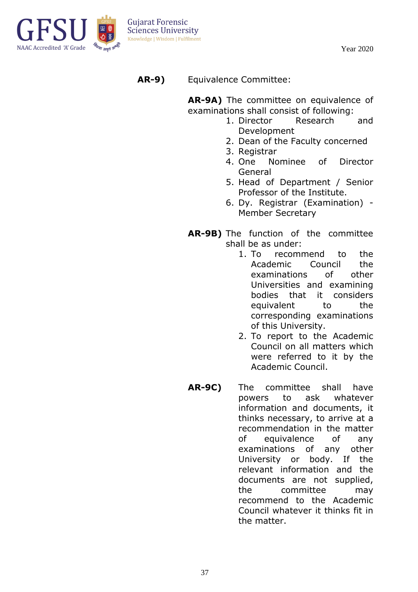

**AR-9)** Equivalence Committee:

**AR-9A)** The committee on equivalence of examinations shall consist of following:

- 1. Director Research and Development
- 2. Dean of the Faculty concerned
- 3. Registrar
- 4. One Nominee of Director General
- 5. Head of Department / Senior Professor of the Institute.
- 6. Dy. Registrar (Examination) Member Secretary
- **AR-9B)** The function of the committee shall be as under:
	- 1. To recommend to the Academic Council the examinations of other Universities and examining bodies that it considers equivalent to the corresponding examinations of this University.
	- 2. To report to the Academic Council on all matters which were referred to it by the Academic Council.
- **AR-9C)** The committee shall have powers to ask whatever information and documents, it thinks necessary, to arrive at a recommendation in the matter of equivalence of any examinations of any other University or body. If the relevant information and the documents are not supplied, the committee may recommend to the Academic Council whatever it thinks fit in the matter.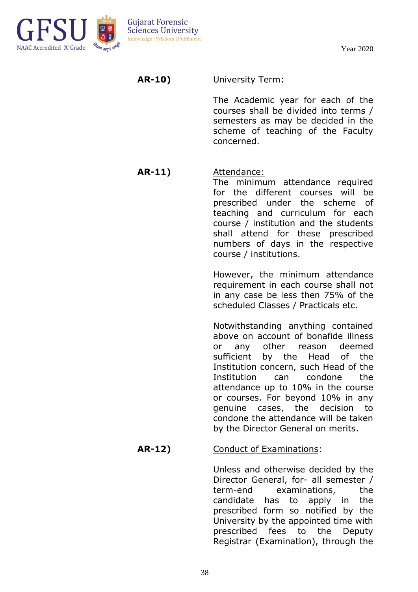

**AR-10)** University Term:

The Academic year for each of the courses shall be divided into terms / semesters as may be decided in the scheme of teaching of the Faculty concerned.

## **AR-11)** Attendance:

The minimum attendance required for the different courses will be prescribed under the scheme of teaching and curriculum for each course / institution and the students shall attend for these prescribed numbers of days in the respective course / institutions.

However, the minimum attendance requirement in each course shall not in any case be less then 75% of the scheduled Classes / Practicals etc.

Notwithstanding anything contained above on account of bonafide illness or any other reason deemed sufficient by the Head of the Institution concern, such Head of the Institution can condone the attendance up to 10% in the course or courses. For beyond 10% in any genuine cases, the decision to condone the attendance will be taken by the Director General on merits.

## **AR-12)** Conduct of Examinations:

Unless and otherwise decided by the Director General, for- all semester / term-end examinations, the candidate has to apply in the prescribed form so notified by the University by the appointed time with prescribed fees to the Deputy Registrar (Examination), through the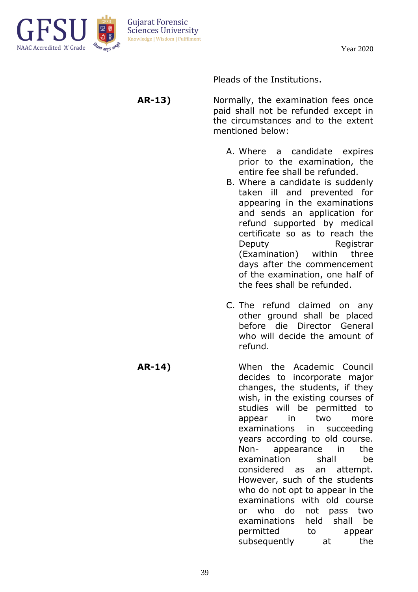



Pleads of the Institutions.

**AR-13)** Normally, the examination fees once paid shall not be refunded except in the circumstances and to the extent mentioned below:

- A. Where a candidate expires prior to the examination, the entire fee shall be refunded.
- B. Where a candidate is suddenly taken ill and prevented for appearing in the examinations and sends an application for refund supported by medical certificate so as to reach the Deputy Registrar (Examination) within three days after the commencement of the examination, one half of the fees shall be refunded.
- C. The refund claimed on any other ground shall be placed before die Director General who will decide the amount of refund.
- **AR-14)** When the Academic Council decides to incorporate major changes, the students, if they wish, in the existing courses of studies will be permitted to appear in two more examinations in succeeding years according to old course. Non- appearance in the examination shall be considered as an attempt. However, such of the students who do not opt to appear in the examinations with old course or who do not pass two examinations held shall be permitted to appear subsequently at the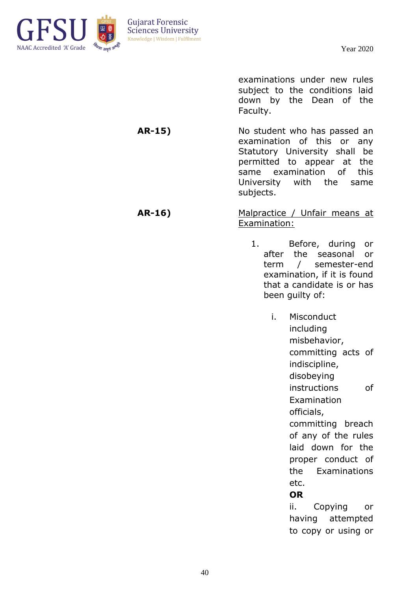

examinations under new rules subject to the conditions laid down by the Dean of the Faculty.

**AR-15)** No student who has passed an examination of this or any Statutory University shall be permitted to appear at the same examination of this University with the same subjects.

**AR-16)** Malpractice / Unfair means at Examination:

- 1. Before, during or after the seasonal or term / semester-end examination, if it is found that a candidate is or has been guilty of:
	- i. Misconduct including misbehavior, committing acts of indiscipline, disobeying instructions of Examination officials, committing breach of any of the rules laid down for the proper conduct of the Examinations etc. **OR**

ii. Copying or having attempted to copy or using or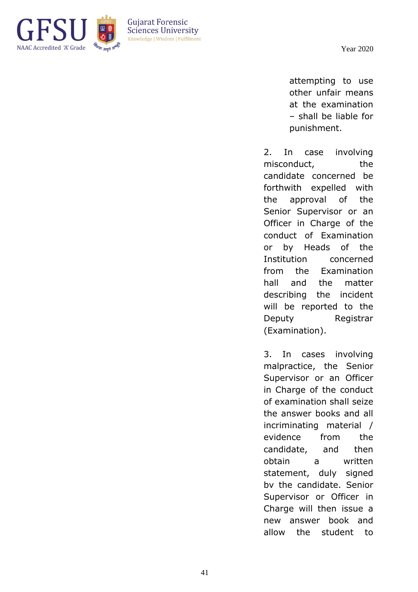

attempting to use other unfair means at the examination – shall be liable for punishment.

2. In case involving misconduct, the candidate concerned be forthwith expelled with the approval of the Senior Supervisor or an Officer in Charge of the conduct of Examination or by Heads of the Institution concerned from the Examination hall and the matter describing the incident will be reported to the Deputy Registrar (Examination).

3. In cases involving malpractice, the Senior Supervisor or an Officer in Charge of the conduct of examination shall seize the answer books and all incriminating material / evidence from the candidate, and then obtain a written statement, duly signed bv the candidate. Senior Supervisor or Officer in Charge will then issue a new answer book and allow the student to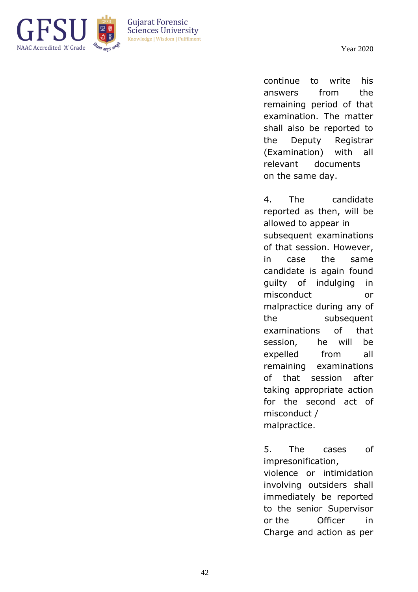

**Guiarat Forensic Sciences University** Knowledge | Wisdom | Fulfilment

> continue to write his answers from the remaining period of that examination. The matter shall also be reported to the Deputy Registrar (Examination) with all relevant documents on the same day.

> 4. The candidate reported as then, will be allowed to appear in subsequent examinations of that session. However, in case the same candidate is again found guilty of indulging in misconduct or malpractice during any of the subsequent examinations of that session, he will be expelled from all remaining examinations of that session after taking appropriate action for the second act of misconduct / malpractice.

5. The cases of impresonification,

violence or intimidation involving outsiders shall immediately be reported to the senior Supervisor or the Officer in Charge and action as per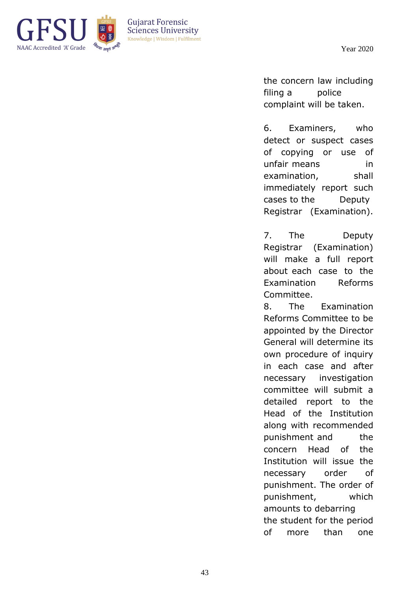

the concern law including filing a police complaint will be taken.

6. Examiners, who detect or suspect cases of copying or use of unfair means in examination, shall immediately report such cases to the Deputy Registrar (Examination).

7. The Deputy Registrar (Examination) will make a full report about each case to the Examination Reforms Committee.

8. The Examination Reforms Committee to be appointed by the Director General will determine its own procedure of inquiry in each case and after necessary investigation committee will submit a detailed report to the Head of the Institution along with recommended punishment and the concern Head of the Institution will issue the necessary order of punishment. The order of punishment, which amounts to debarring the student for the period of more than one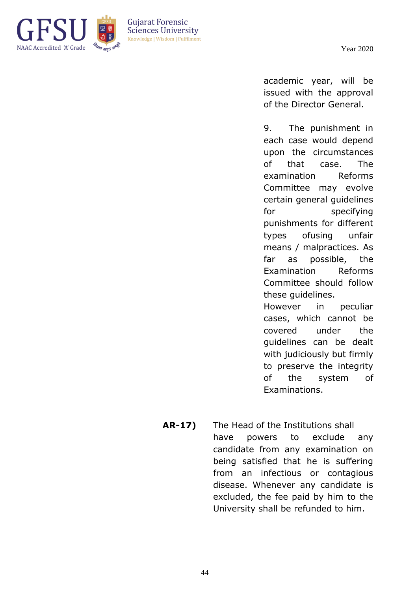

**Guiarat Forensic Sciences University** Knowledge | Wisdom | Fulfilment

> academic year, will be issued with the approval of the Director General.

9. The punishment in each case would depend upon the circumstances of that case. The examination Reforms Committee may evolve certain general guidelines for specifying punishments for different types ofusing unfair means / malpractices. As far as possible, the Examination Reforms Committee should follow these guidelines. However in peculiar cases, which cannot be covered under the

guidelines can be dealt with judiciously but firmly to preserve the integrity of the system of Examinations.

**AR-17)** The Head of the Institutions shall have powers to exclude any candidate from any examination on being satisfied that he is suffering from an infectious or contagious disease. Whenever any candidate is excluded, the fee paid by him to the University shall be refunded to him.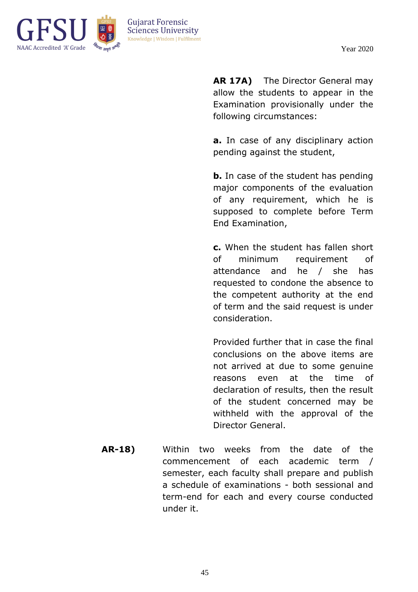

**AR 17A)** The Director General may allow the students to appear in the Examination provisionally under the following circumstances:

**a.** In case of any disciplinary action pending against the student,

**b.** In case of the student has pending major components of the evaluation of any requirement, which he is supposed to complete before Term End Examination,

**c.** When the student has fallen short of minimum requirement of attendance and he / she has requested to condone the absence to the competent authority at the end of term and the said request is under consideration.

Provided further that in case the final conclusions on the above items are not arrived at due to some genuine reasons even at the time of declaration of results, then the result of the student concerned may be withheld with the approval of the Director General.

**AR-18)** Within two weeks from the date of the commencement of each academic term / semester, each faculty shall prepare and publish a schedule of examinations - both sessional and term-end for each and every course conducted under it.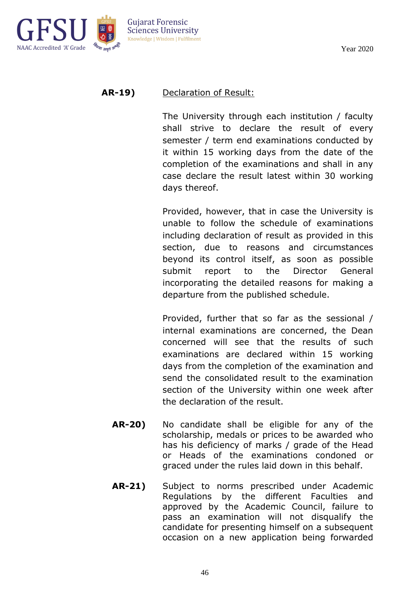

## **AR-19)** Declaration of Result:

The University through each institution / faculty shall strive to declare the result of every semester / term end examinations conducted by it within 15 working days from the date of the completion of the examinations and shall in any case declare the result latest within 30 working days thereof.

Provided, however, that in case the University is unable to follow the schedule of examinations including declaration of result as provided in this section, due to reasons and circumstances beyond its control itself, as soon as possible submit report to the Director General incorporating the detailed reasons for making a departure from the published schedule.

Provided, further that so far as the sessional / internal examinations are concerned, the Dean concerned will see that the results of such examinations are declared within 15 working days from the completion of the examination and send the consolidated result to the examination section of the University within one week after the declaration of the result.

- **AR-20)** No candidate shall be eligible for any of the scholarship, medals or prices to be awarded who has his deficiency of marks / grade of the Head or Heads of the examinations condoned or graced under the rules laid down in this behalf.
- **AR-21)** Subject to norms prescribed under Academic Regulations by the different Faculties and approved by the Academic Council, failure to pass an examination will not disqualify the candidate for presenting himself on a subsequent occasion on a new application being forwarded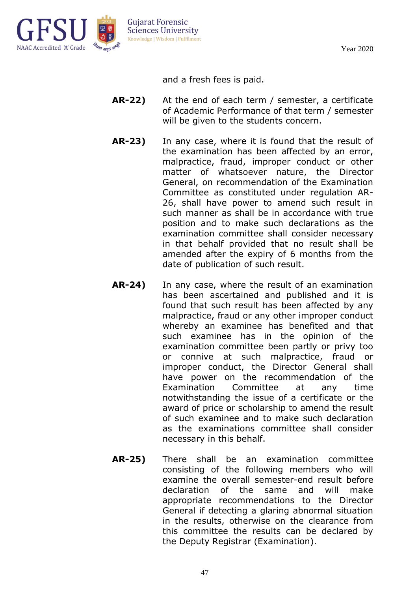

and a fresh fees is paid.

- **AR-22)** At the end of each term / semester, a certificate of Academic Performance of that term / semester will be given to the students concern.
- **AR-23)** In any case, where it is found that the result of the examination has been affected by an error, malpractice, fraud, improper conduct or other matter of whatsoever nature, the Director General, on recommendation of the Examination Committee as constituted under regulation AR-26, shall have power to amend such result in such manner as shall be in accordance with true position and to make such declarations as the examination committee shall consider necessary in that behalf provided that no result shall be amended after the expiry of 6 months from the date of publication of such result.
- **AR-24)** In any case, where the result of an examination has been ascertained and published and it is found that such result has been affected by any malpractice, fraud or any other improper conduct whereby an examinee has benefited and that such examinee has in the opinion of the examination committee been partly or privy too or connive at such malpractice, fraud or improper conduct, the Director General shall have power on the recommendation of the Examination Committee at any time notwithstanding the issue of a certificate or the award of price or scholarship to amend the result of such examinee and to make such declaration as the examinations committee shall consider necessary in this behalf.
- **AR-25)** There shall be an examination committee consisting of the following members who will examine the overall semester-end result before declaration of the same and will make appropriate recommendations to the Director General if detecting a glaring abnormal situation in the results, otherwise on the clearance from this committee the results can be declared by the Deputy Registrar (Examination).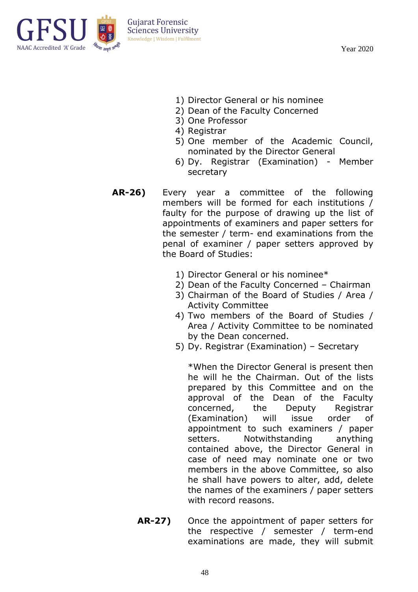

- 1) Director General or his nominee
- 2) Dean of the Faculty Concerned
- 3) One Professor
- 4) Registrar
- 5) One member of the Academic Council, nominated by the Director General
- 6) Dy. Registrar (Examination) Member secretary
- **AR-26)** Every year a committee of the following members will be formed for each institutions / faulty for the purpose of drawing up the list of appointments of examiners and paper setters for the semester / term- end examinations from the penal of examiner / paper setters approved by the Board of Studies:
	- 1) Director General or his nominee\*
	- 2) Dean of the Faculty Concerned Chairman
	- 3) Chairman of the Board of Studies / Area / Activity Committee
	- 4) Two members of the Board of Studies / Area / Activity Committee to be nominated by the Dean concerned.
	- 5) Dy. Registrar (Examination) Secretary

\*When the Director General is present then he will he the Chairman. Out of the lists prepared by this Committee and on the approval of the Dean of the Faculty concerned, the Deputy Registrar (Examination) will issue order of appointment to such examiners / paper setters. Notwithstanding anything contained above, the Director General in case of need may nominate one or two members in the above Committee, so also he shall have powers to alter, add, delete the names of the examiners / paper setters with record reasons.

**AR-27)** Once the appointment of paper setters for the respective / semester / term-end examinations are made, they will submit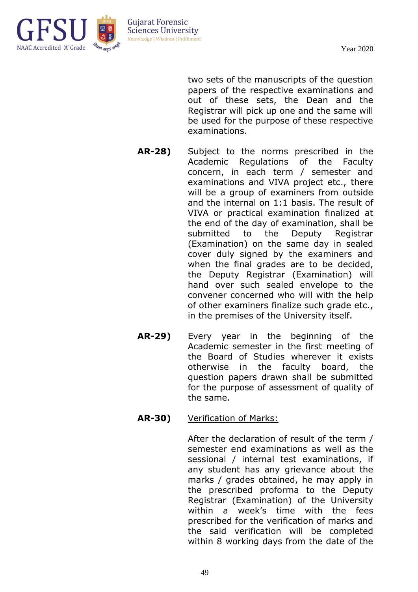

two sets of the manuscripts of the question papers of the respective examinations and out of these sets, the Dean and the Registrar will pick up one and the same will be used for the purpose of these respective examinations.

- **AR-28)** Subject to the norms prescribed in the Academic Regulations of the Faculty concern, in each term / semester and examinations and VIVA project etc., there will be a group of examiners from outside and the internal on 1:1 basis. The result of VIVA or practical examination finalized at the end of the day of examination, shall be submitted to the Deputy Registrar (Examination) on the same day in sealed cover duly signed by the examiners and when the final grades are to be decided, the Deputy Registrar (Examination) will hand over such sealed envelope to the convener concerned who will with the help of other examiners finalize such grade etc., in the premises of the University itself.
- **AR-29)** Every year in the beginning of the Academic semester in the first meeting of the Board of Studies wherever it exists otherwise in the faculty board, the question papers drawn shall be submitted for the purpose of assessment of quality of the same.
- **AR-30)** Verification of Marks:

After the declaration of result of the term / semester end examinations as well as the sessional / internal test examinations, if any student has any grievance about the marks / grades obtained, he may apply in the prescribed proforma to the Deputy Registrar (Examination) of the University within a week's time with the fees prescribed for the verification of marks and the said verification will be completed within 8 working days from the date of the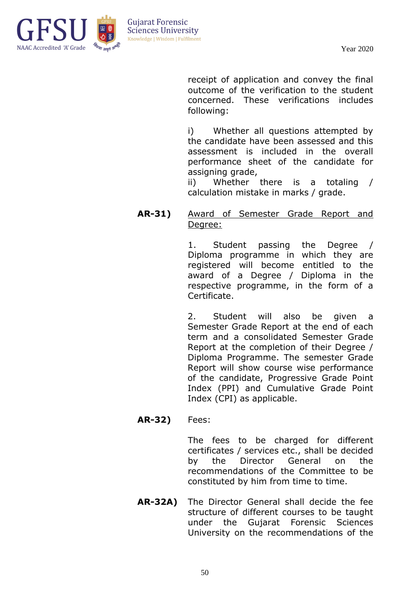

receipt of application and convey the final outcome of the verification to the student concerned. These verifications includes following:

i) Whether all questions attempted by the candidate have been assessed and this assessment is included in the overall performance sheet of the candidate for assigning grade,

ii) Whether there is a totaling / calculation mistake in marks / grade.

#### **AR-31)** Award of Semester Grade Report and Degree:

1. Student passing the Degree / Diploma programme in which they are registered will become entitled to the award of a Degree / Diploma in the respective programme, in the form of a Certificate.

2. Student will also be given a Semester Grade Report at the end of each term and a consolidated Semester Grade Report at the completion of their Degree / Diploma Programme. The semester Grade Report will show course wise performance of the candidate, Progressive Grade Point Index (PPI) and Cumulative Grade Point Index (CPI) as applicable.

#### **AR-32)** Fees:

The fees to be charged for different certificates / services etc., shall be decided by the Director General on the recommendations of the Committee to be constituted by him from time to time.

**AR-32A)** The Director General shall decide the fee structure of different courses to be taught under the Gujarat Forensic Sciences University on the recommendations of the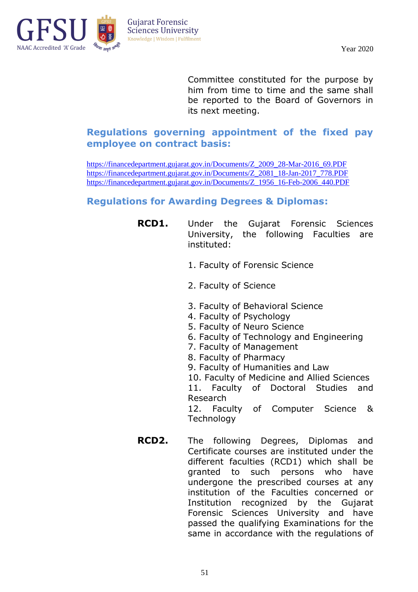

Committee constituted for the purpose by him from time to time and the same shall be reported to the Board of Governors in its next meeting.

## **Regulations governing appointment of the fixed pay employee on contract basis:**

[https://financedepartment.gujarat.gov.in/Documents/Z\\_2009\\_28-Mar-2016\\_69.PDF](https://financedepartment.gujarat.gov.in/Documents/Z_2009_28-Mar-2016_69.PDF) [https://financedepartment.gujarat.gov.in/Documents/Z\\_2081\\_18-Jan-2017\\_778.PDF](https://financedepartment.gujarat.gov.in/Documents/Z_2081_18-Jan-2017_778.PDF) [https://financedepartment.gujarat.gov.in/Documents/Z\\_1956\\_16-Feb-2006\\_440.PDF](https://financedepartment.gujarat.gov.in/Documents/Z_1956_16-Feb-2006_440.PDF)

## **Regulations for Awarding Degrees & Diplomas:**

- **RCD1.** Under the Gujarat Forensic Sciences University, the following Faculties are instituted:
	- 1. Faculty of Forensic Science
	- 2. Faculty of Science
	- 3. Faculty of Behavioral Science
	- 4. Faculty of Psychology
	- 5. Faculty of Neuro Science
	- 6. Faculty of Technology and Engineering
	- 7. Faculty of Management
	- 8. Faculty of Pharmacy
	- 9. Faculty of Humanities and Law
	- 10. Faculty of Medicine and Allied Sciences

11. Faculty of Doctoral Studies and Research

12. Faculty of Computer Science & **Technology** 

**RCD2.** The following Degrees, Diplomas and Certificate courses are instituted under the different faculties (RCD1) which shall be granted to such persons who have undergone the prescribed courses at any institution of the Faculties concerned or Institution recognized by the Gujarat Forensic Sciences University and have passed the qualifying Examinations for the same in accordance with the regulations of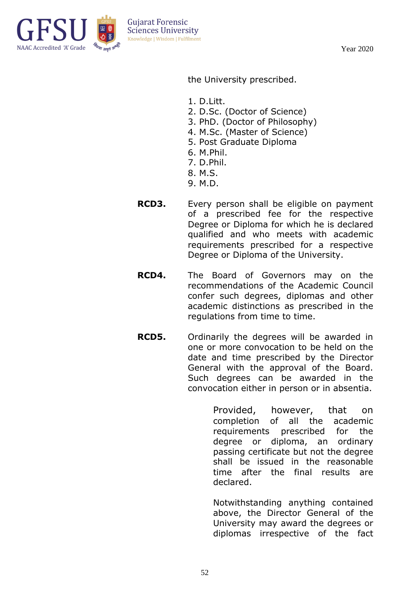

the University prescribed.

- 1. D.Litt.
- 2. D.Sc. (Doctor of Science)
- 3. PhD. (Doctor of Philosophy)
- 4. M.Sc. (Master of Science)
- 5. Post Graduate Diploma
- 6. M.Phil.
- 7. D.Phil.
- 8. M.S.
- 9. M.D.
- **RCD3.** Every person shall be eligible on payment of a prescribed fee for the respective Degree or Diploma for which he is declared qualified and who meets with academic requirements prescribed for a respective Degree or Diploma of the University.
- **RCD4.** The Board of Governors may on the recommendations of the Academic Council confer such degrees, diplomas and other academic distinctions as prescribed in the regulations from time to time.
- **RCD5.** Ordinarily the degrees will be awarded in one or more convocation to be held on the date and time prescribed by the Director General with the approval of the Board. Such degrees can be awarded in the convocation either in person or in absentia.

Provided, however, that on completion of all the academic requirements prescribed for the degree or diploma, an ordinary passing certificate but not the degree shall be issued in the reasonable time after the final results are declared.

Notwithstanding anything contained above, the Director General of the University may award the degrees or diplomas irrespective of the fact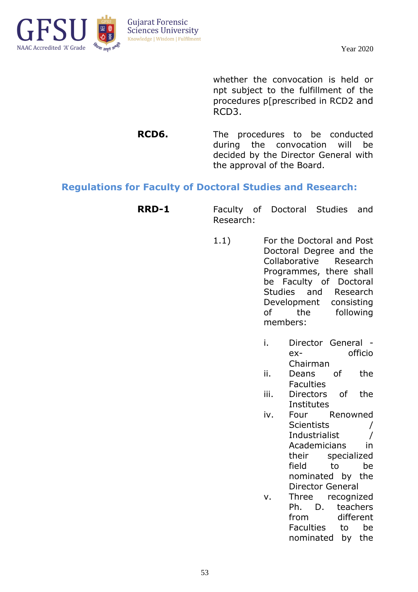

whether the convocation is held or npt subject to the fulfillment of the procedures p[prescribed in RCD2 and RCD3.

**RCD6.** The procedures to be conducted during the convocation will be decided by the Director General with the approval of the Board.

#### **Regulations for Faculty of Doctoral Studies and Research:**

- **RRD-1** Faculty of Doctoral Studies and Research:
	- 1.1) For the Doctoral and Post Doctoral Degree and the Collaborative Research Programmes, there shall be Faculty of Doctoral Studies and Research Development consisting of the following members:
		- i. Director General ex- officio Chairman
		- ii. Deans of the **Faculties**
		- iii. Directors of the **Institutes**
		- iv. Four Renowned Scientists / Industrialist / Academicians in their specialized field to be nominated by the Director General
		- v. Three recognized Ph. D. teachers from different Faculties to be nominated by the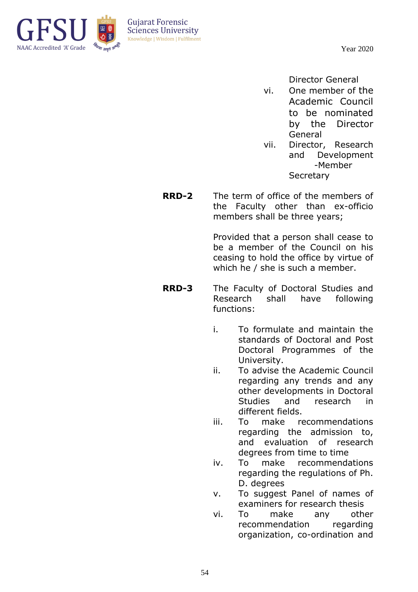

Director General

- vi. One member of the Academic Council to be nominated by the Director General
- vii. Director, Research and Development -Member **Secretary**
- **RRD-2** The term of office of the members of the Faculty other than ex-officio members shall be three years;

Provided that a person shall cease to be a member of the Council on his ceasing to hold the office by virtue of which he / she is such a member.

- **RRD-3** The Faculty of Doctoral Studies and Research shall have following functions:
	- i. To formulate and maintain the standards of Doctoral and Post Doctoral Programmes of the University.
	- ii. To advise the Academic Council regarding any trends and any other developments in Doctoral Studies and research in different fields.
	- iii. To make recommendations regarding the admission to, and evaluation of research degrees from time to time
	- iv. To make recommendations regarding the regulations of Ph. D. degrees
	- v. To suggest Panel of names of examiners for research thesis
	- vi. To make any other recommendation regarding organization, co-ordination and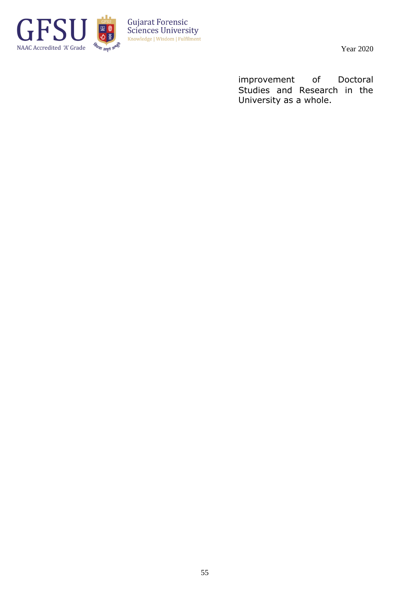

Year 2020

improvement of Doctoral Studies and Research in the University as a whole.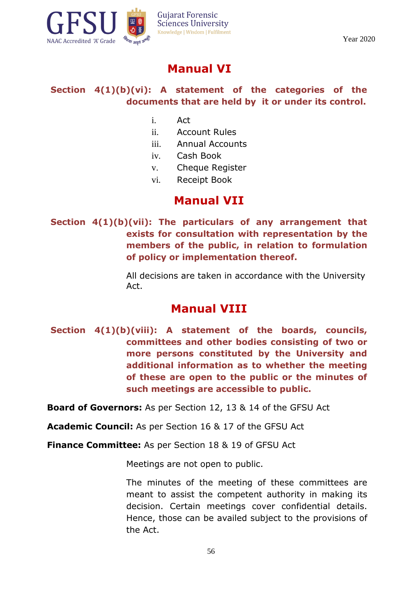



## **Manual VI**

## **Section 4(1)(b)(vi): A statement of the categories of the documents that are held by it or under its control.**

- i. Act
- ii. Account Rules
- iii. Annual Accounts
- iv. Cash Book
- v. Cheque Register
- vi. Receipt Book

## **Manual VII**

**Section 4(1)(b)(vii): The particulars of any arrangement that exists for consultation with representation by the members of the public, in relation to formulation of policy or implementation thereof.**

> All decisions are taken in accordance with the University Act.

## **Manual VIII**

**Section 4(1)(b)(viii): A statement of the boards, councils, committees and other bodies consisting of two or more persons constituted by the University and additional information as to whether the meeting of these are open to the public or the minutes of such meetings are accessible to public.**

**Board of Governors:** As per Section 12, 13 & 14 of the GFSU Act

**Academic Council:** As per Section 16 & 17 of the GFSU Act

**Finance Committee:** As per Section 18 & 19 of GFSU Act

Meetings are not open to public.

The minutes of the meeting of these committees are meant to assist the competent authority in making its decision. Certain meetings cover confidential details. Hence, those can be availed subject to the provisions of the Act.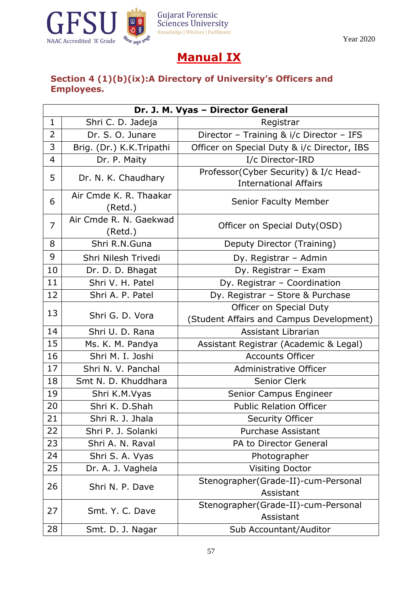

# **Manual IX**

## **Section 4 (1)(b)(ix):A Directory of University's Officers and Employees.**

|                | Dr. J. M. Vyas - Director General |                                             |  |  |
|----------------|-----------------------------------|---------------------------------------------|--|--|
| $\mathbf 1$    | Shri C. D. Jadeja                 | Registrar                                   |  |  |
| $\overline{2}$ | Dr. S. O. Junare                  | Director - Training & i/c Director - IFS    |  |  |
| 3              | Brig. (Dr.) K.K.Tripathi          | Officer on Special Duty & i/c Director, IBS |  |  |
| $\overline{4}$ | Dr. P. Maity                      | I/c Director-IRD                            |  |  |
| 5              | Dr. N. K. Chaudhary               | Professor(Cyber Security) & I/c Head-       |  |  |
|                |                                   | <b>International Affairs</b>                |  |  |
| 6              | Air Cmde K. R. Thaakar<br>(Retd.) | <b>Senior Faculty Member</b>                |  |  |
| $\overline{7}$ | Air Cmde R. N. Gaekwad<br>(Retd.) | Officer on Special Duty(OSD)                |  |  |
| 8              | Shri R.N.Guna                     | Deputy Director (Training)                  |  |  |
| 9              | Shri Nilesh Trivedi               | Dy. Registrar - Admin                       |  |  |
| 10             | Dr. D. D. Bhagat                  | Dy. Registrar - Exam                        |  |  |
| 11             | Shri V. H. Patel                  | Dy. Registrar - Coordination                |  |  |
| 12             | Shri A. P. Patel                  | Dy. Registrar - Store & Purchase            |  |  |
| 13             |                                   | Officer on Special Duty                     |  |  |
|                | Shri G. D. Vora                   | (Student Affairs and Campus Development)    |  |  |
| 14             | Shri U. D. Rana                   | Assistant Librarian                         |  |  |
| 15             | Ms. K. M. Pandya                  | Assistant Registrar (Academic & Legal)      |  |  |
| 16             | Shri M. I. Joshi                  | <b>Accounts Officer</b>                     |  |  |
| 17             | Shri N. V. Panchal                | Administrative Officer                      |  |  |
| 18             | Smt N. D. Khuddhara               | Senior Clerk                                |  |  |
| 19             | Shri K.M.Vyas                     | Senior Campus Engineer                      |  |  |
| 20             | Shri K. D.Shah                    | <b>Public Relation Officer</b>              |  |  |
| 21             | Shri R. J. Jhala                  | <b>Security Officer</b>                     |  |  |
| 22             | Shri P. J. Solanki                | <b>Purchase Assistant</b>                   |  |  |
| 23             | Shri A. N. Raval                  | PA to Director General                      |  |  |
| 24             | Shri S. A. Vyas                   | Photographer                                |  |  |
| 25             | Dr. A. J. Vaghela                 | <b>Visiting Doctor</b>                      |  |  |
| 26             | Shri N. P. Dave                   | Stenographer(Grade-II)-cum-Personal         |  |  |
|                |                                   | Assistant                                   |  |  |
| 27             | Smt. Y. C. Dave                   | Stenographer(Grade-II)-cum-Personal         |  |  |
|                |                                   | Assistant                                   |  |  |
| 28             | Smt. D. J. Nagar                  | Sub Accountant/Auditor                      |  |  |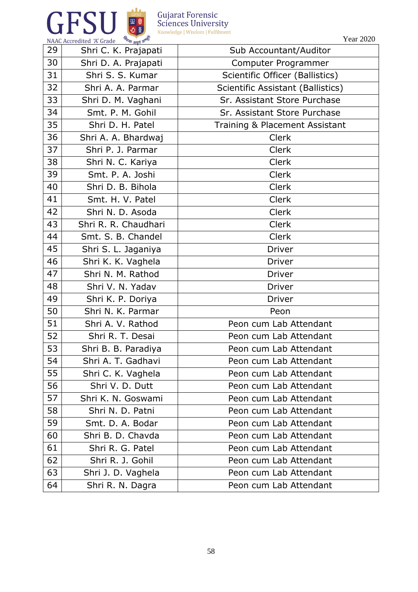

Year 2020

| 29 | Shri C. K. Prajapati | Sub Accountant/Auditor            |  |
|----|----------------------|-----------------------------------|--|
| 30 | Shri D. A. Prajapati | Computer Programmer               |  |
| 31 | Shri S. S. Kumar     | Scientific Officer (Ballistics)   |  |
| 32 | Shri A. A. Parmar    | Scientific Assistant (Ballistics) |  |
| 33 | Shri D. M. Vaghani   | Sr. Assistant Store Purchase      |  |
| 34 | Smt. P. M. Gohil     | Sr. Assistant Store Purchase      |  |
| 35 | Shri D. H. Patel     | Training & Placement Assistant    |  |
| 36 | Shri A. A. Bhardwaj  | <b>Clerk</b>                      |  |
| 37 | Shri P. J. Parmar    | Clerk                             |  |
| 38 | Shri N. C. Kariya    | <b>Clerk</b>                      |  |
| 39 | Smt. P. A. Joshi     | <b>Clerk</b>                      |  |
| 40 | Shri D. B. Bihola    | <b>Clerk</b>                      |  |
| 41 | Smt. H. V. Patel     | <b>Clerk</b>                      |  |
| 42 | Shri N. D. Asoda     | <b>Clerk</b>                      |  |
| 43 | Shri R. R. Chaudhari | <b>Clerk</b>                      |  |
| 44 | Smt. S. B. Chandel   | <b>Clerk</b>                      |  |
| 45 | Shri S. L. Jaganiya  | <b>Driver</b>                     |  |
| 46 | Shri K. K. Vaghela   | <b>Driver</b>                     |  |
| 47 | Shri N. M. Rathod    | <b>Driver</b>                     |  |
| 48 | Shri V. N. Yadav     | Driver                            |  |
| 49 | Shri K. P. Doriya    | <b>Driver</b>                     |  |
| 50 | Shri N. K. Parmar    | Peon                              |  |
| 51 | Shri A. V. Rathod    | Peon cum Lab Attendant            |  |
| 52 | Shri R. T. Desai     | Peon cum Lab Attendant            |  |
| 53 | Shri B. B. Paradiya  | Peon cum Lab Attendant            |  |
| 54 | Shri A. T. Gadhavi   | Peon cum Lab Attendant            |  |
| 55 | Shri C. K. Vaghela   | Peon cum Lab Attendant            |  |
| 56 | Shri V. D. Dutt      | Peon cum Lab Attendant            |  |
| 57 | Shri K. N. Goswami   | Peon cum Lab Attendant            |  |
| 58 | Shri N. D. Patni     | Peon cum Lab Attendant            |  |
| 59 | Smt. D. A. Bodar     | Peon cum Lab Attendant            |  |
| 60 | Shri B. D. Chavda    | Peon cum Lab Attendant            |  |
| 61 | Shri R. G. Patel     | Peon cum Lab Attendant            |  |
| 62 | Shri R. J. Gohil     | Peon cum Lab Attendant            |  |
| 63 | Shri J. D. Vaghela   | Peon cum Lab Attendant            |  |
| 64 | Shri R. N. Dagra     | Peon cum Lab Attendant            |  |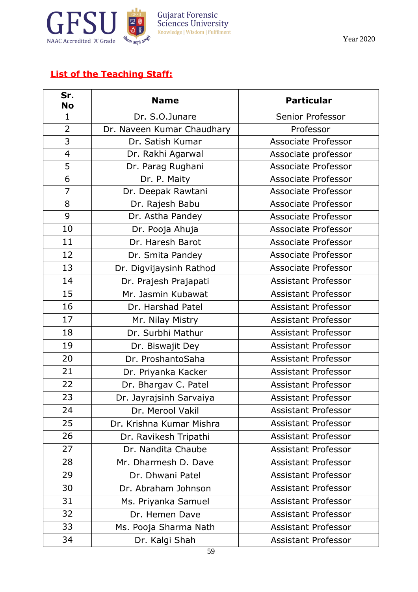

Year 2020

## **List of the Teaching Staff:**

| Sr.<br>No      | <b>Name</b>                | <b>Particular</b>          |
|----------------|----------------------------|----------------------------|
| $\mathbf{1}$   | Dr. S.O.Junare             | Senior Professor           |
| $\overline{2}$ | Dr. Naveen Kumar Chaudhary | Professor                  |
| 3              | Dr. Satish Kumar           | Associate Professor        |
| 4              | Dr. Rakhi Agarwal          | Associate professor        |
| 5              | Dr. Parag Rughani          | Associate Professor        |
| 6              | Dr. P. Maity               | Associate Professor        |
| $\overline{7}$ | Dr. Deepak Rawtani         | Associate Professor        |
| 8              | Dr. Rajesh Babu            | Associate Professor        |
| 9              | Dr. Astha Pandey           | Associate Professor        |
| 10             | Dr. Pooja Ahuja            | Associate Professor        |
| 11             | Dr. Haresh Barot           | Associate Professor        |
| 12             | Dr. Smita Pandey           | Associate Professor        |
| 13             | Dr. Digvijaysinh Rathod    | Associate Professor        |
| 14             | Dr. Prajesh Prajapati      | <b>Assistant Professor</b> |
| 15             | Mr. Jasmin Kubawat         | <b>Assistant Professor</b> |
| 16             | Dr. Harshad Patel          | <b>Assistant Professor</b> |
| 17             | Mr. Nilay Mistry           | <b>Assistant Professor</b> |
| 18             | Dr. Surbhi Mathur          | <b>Assistant Professor</b> |
| 19             | Dr. Biswajit Dey           | <b>Assistant Professor</b> |
| 20             | Dr. ProshantoSaha          | <b>Assistant Professor</b> |
| 21             | Dr. Priyanka Kacker        | <b>Assistant Professor</b> |
| 22             | Dr. Bhargav C. Patel       | <b>Assistant Professor</b> |
| 23             | Dr. Jayrajsinh Sarvaiya    | <b>Assistant Professor</b> |
| 24             | Dr. Merool Vakil           | <b>Assistant Professor</b> |
| 25             | Dr. Krishna Kumar Mishra   | <b>Assistant Professor</b> |
| 26             | Dr. Ravikesh Tripathi      | <b>Assistant Professor</b> |
| 27             | Dr. Nandita Chaube         | <b>Assistant Professor</b> |
| 28             | Mr. Dharmesh D. Dave       | <b>Assistant Professor</b> |
| 29             | Dr. Dhwani Patel           | <b>Assistant Professor</b> |
| 30             | Dr. Abraham Johnson        | <b>Assistant Professor</b> |
| 31             | Ms. Priyanka Samuel        | <b>Assistant Professor</b> |
| 32             | Dr. Hemen Dave             | <b>Assistant Professor</b> |
| 33             | Ms. Pooja Sharma Nath      | <b>Assistant Professor</b> |
| 34             | Dr. Kalgi Shah             | <b>Assistant Professor</b> |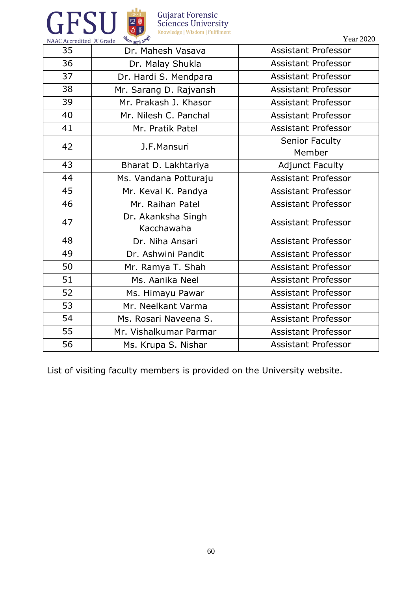



NAAC Accredited 'A' Grade विद्या आपने अ Year 2020

| 35 | Dr. Mahesh Vasava      | <b>Assistant Professor</b> |  |
|----|------------------------|----------------------------|--|
|    |                        |                            |  |
| 36 | Dr. Malay Shukla       | <b>Assistant Professor</b> |  |
| 37 | Dr. Hardi S. Mendpara  | <b>Assistant Professor</b> |  |
| 38 | Mr. Sarang D. Rajvansh | <b>Assistant Professor</b> |  |
| 39 | Mr. Prakash J. Khasor  | <b>Assistant Professor</b> |  |
| 40 | Mr. Nilesh C. Panchal  | Assistant Professor        |  |
| 41 | Mr. Pratik Patel       | <b>Assistant Professor</b> |  |
| 42 | J.F.Mansuri            | <b>Senior Faculty</b>      |  |
|    |                        | Member                     |  |
| 43 | Bharat D. Lakhtariya   | <b>Adjunct Faculty</b>     |  |
| 44 | Ms. Vandana Potturaju  | <b>Assistant Professor</b> |  |
| 45 | Mr. Keval K. Pandya    | <b>Assistant Professor</b> |  |
| 46 | Mr. Raihan Patel       | <b>Assistant Professor</b> |  |
| 47 | Dr. Akanksha Singh     | <b>Assistant Professor</b> |  |
|    | Kacchawaha             |                            |  |
| 48 | Dr. Niha Ansari        | <b>Assistant Professor</b> |  |
| 49 | Dr. Ashwini Pandit     | <b>Assistant Professor</b> |  |
| 50 | Mr. Ramya T. Shah      | <b>Assistant Professor</b> |  |
| 51 | Ms. Aanika Neel        | <b>Assistant Professor</b> |  |
| 52 | Ms. Himayu Pawar       | <b>Assistant Professor</b> |  |
| 53 | Mr. Neelkant Varma     | <b>Assistant Professor</b> |  |
| 54 | Ms. Rosari Naveena S.  | <b>Assistant Professor</b> |  |
| 55 | Mr. Vishalkumar Parmar | <b>Assistant Professor</b> |  |
| 56 | Ms. Krupa S. Nishar    | <b>Assistant Professor</b> |  |

List of visiting faculty members is provided on the University website.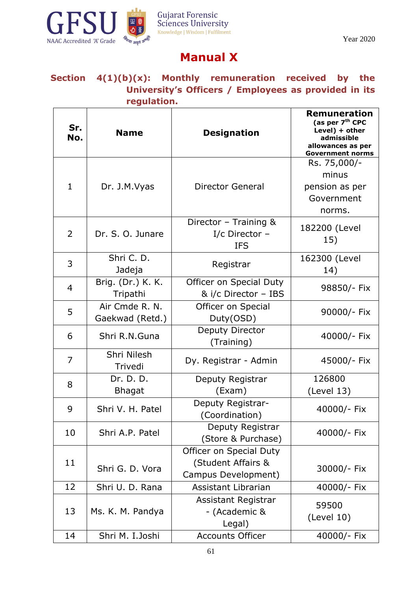

# **Manual X**

## **Section 4(1)(b)(x): Monthly remuneration received by the University's Officers / Employees as provided in its regulation.**

| Sr.<br>No.     | <b>Name</b>                       | <b>Designation</b>                                                   | <b>Remuneration</b><br>(as per 7 <sup>th</sup> CPC<br>Level) + other<br>admissible<br>allowances as per<br><b>Government norms</b> |
|----------------|-----------------------------------|----------------------------------------------------------------------|------------------------------------------------------------------------------------------------------------------------------------|
|                |                                   |                                                                      | Rs. 75,000/-                                                                                                                       |
| $\mathbf 1$    | Dr. J.M.Vyas                      | <b>Director General</b>                                              | minus<br>pension as per<br>Government<br>norms.                                                                                    |
| 2              | Dr. S. O. Junare                  | Director - Training &<br>I/c Director $-$<br><b>IFS</b>              | 182200 (Level<br>15)                                                                                                               |
| 3              | Shri C. D.<br>Jadeja              | Registrar                                                            | 162300 (Level<br>14)                                                                                                               |
| $\overline{4}$ | Brig. (Dr.) K. K.<br>Tripathi     | Officer on Special Duty<br>& i/c Director - IBS                      | 98850/- Fix                                                                                                                        |
| 5              | Air Cmde R. N.<br>Gaekwad (Retd.) | Officer on Special<br>Duty(OSD)                                      | 90000/- Fix                                                                                                                        |
| 6              | Shri R.N.Guna                     | Deputy Director<br>(Training)                                        | 40000/- Fix                                                                                                                        |
| $\overline{7}$ | Shri Nilesh<br>Trivedi            | Dy. Registrar - Admin                                                | 45000/- Fix                                                                                                                        |
| 8              | Dr. D. D.                         | Deputy Registrar                                                     | 126800                                                                                                                             |
| 9              | <b>Bhagat</b><br>Shri V. H. Patel | (Exam)<br>Deputy Registrar-<br>(Coordination)                        | (Level 13)<br>40000/- Fix                                                                                                          |
| 10             | Shri A.P. Patel                   | Deputy Registrar<br>(Store & Purchase)                               | 40000/- Fix                                                                                                                        |
| 11             | Shri G. D. Vora                   | Officer on Special Duty<br>(Student Affairs &<br>Campus Development) | 30000/- Fix                                                                                                                        |
| 12             | Shri U. D. Rana                   | Assistant Librarian                                                  | 40000/- Fix                                                                                                                        |
| 13             | Ms. K. M. Pandya                  | <b>Assistant Registrar</b><br>- (Academic &<br>Legal)                | 59500<br>(Level 10)                                                                                                                |
| 14             | Shri M. I.Joshi                   | <b>Accounts Officer</b>                                              | 40000/- Fix                                                                                                                        |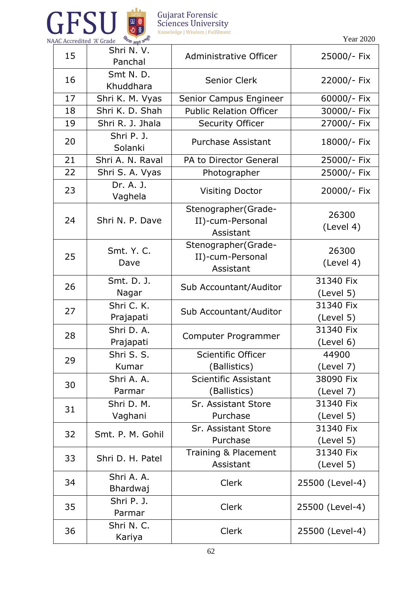

Year 2020

| 15 | Shri N. V.<br>Panchal   | Administrative Officer                               | 25000/- Fix            |
|----|-------------------------|------------------------------------------------------|------------------------|
| 16 | Smt N.D.<br>Khuddhara   | <b>Senior Clerk</b>                                  | 22000/- Fix            |
| 17 | Shri K. M. Vyas         | Senior Campus Engineer                               | 60000/- Fix            |
| 18 | Shri K. D. Shah         | <b>Public Relation Officer</b>                       | 30000/- Fix            |
| 19 | Shri R. J. Jhala        | <b>Security Officer</b>                              | 27000/- Fix            |
| 20 | Shri P. J.<br>Solanki   | <b>Purchase Assistant</b>                            | 18000/- Fix            |
| 21 | Shri A. N. Raval        | PA to Director General                               | 25000/- Fix            |
| 22 | Shri S. A. Vyas         | Photographer                                         | 25000/- Fix            |
| 23 | Dr. A. J.<br>Vaghela    | <b>Visiting Doctor</b>                               | 20000/- Fix            |
| 24 | Shri N. P. Dave         | Stenographer(Grade-<br>II)-cum-Personal<br>Assistant | 26300<br>(Level 4)     |
| 25 | Smt. Y. C.<br>Dave      | Stenographer(Grade-<br>II)-cum-Personal<br>Assistant | 26300<br>(Level 4)     |
| 26 | Smt. D. J.<br>Nagar     | Sub Accountant/Auditor                               | 31340 Fix<br>(Level 5) |
| 27 | Shri C. K.<br>Prajapati | Sub Accountant/Auditor                               | 31340 Fix<br>(Level 5) |
| 28 | Shri D. A.<br>Prajapati | Computer Programmer                                  | 31340 Fix<br>(Level 6) |
| 29 | Shri S. S.<br>Kumar     | Scientific Officer<br>(Ballistics)                   | 44900<br>(Level 7)     |
| 30 | Shri A. A.<br>Parmar    | Scientific Assistant<br>(Ballistics)                 | 38090 Fix<br>(Level 7) |
| 31 | Shri D. M.<br>Vaghani   | Sr. Assistant Store<br>Purchase                      | 31340 Fix<br>(Level 5) |
| 32 | Smt. P. M. Gohil        | Sr. Assistant Store<br>Purchase                      | 31340 Fix<br>(Level 5) |
| 33 | Shri D. H. Patel        | Training & Placement<br>Assistant                    | 31340 Fix<br>(Level 5) |
| 34 | Shri A. A.<br>Bhardwaj  | <b>Clerk</b>                                         | 25500 (Level-4)        |
| 35 | Shri P. J.<br>Parmar    | <b>Clerk</b>                                         | 25500 (Level-4)        |
| 36 | Shri N. C.<br>Kariya    | <b>Clerk</b>                                         | 25500 (Level-4)        |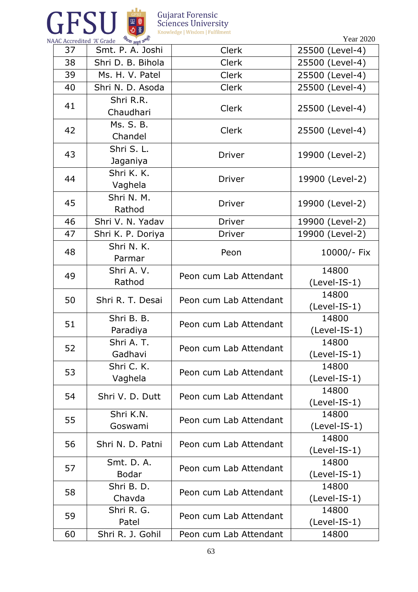



| AAC Accredited A Grade | पथा <sub>अमृतं</sub> अ     |                        |                         |
|------------------------|----------------------------|------------------------|-------------------------|
| 37                     | Smt. P. A. Joshi           | <b>Clerk</b>           | 25500 (Level-4)         |
| 38                     | Shri D. B. Bihola          | <b>Clerk</b>           | 25500 (Level-4)         |
| 39                     | Ms. H. V. Patel            | <b>Clerk</b>           | 25500 (Level-4)         |
| 40                     | Shri N. D. Asoda           | <b>Clerk</b>           | 25500 (Level-4)         |
| 41                     | Shri R.R.<br>Chaudhari     | <b>Clerk</b>           | 25500 (Level-4)         |
| 42                     | Ms. S. B.<br>Chandel       | <b>Clerk</b>           | 25500 (Level-4)         |
| 43                     | Shri S. L.<br>Jaganiya     | <b>Driver</b>          | 19900 (Level-2)         |
| 44                     | Shri K. K.<br>Vaghela      | <b>Driver</b>          | 19900 (Level-2)         |
| 45                     | Shri N. M.<br>Rathod       | <b>Driver</b>          | 19900 (Level-2)         |
| 46                     | Shri V. N. Yadav           | <b>Driver</b>          | 19900 (Level-2)         |
| 47                     | Shri K. P. Doriya          | <b>Driver</b>          | 19900 (Level-2)         |
| 48                     | Shri N. K.<br>Parmar       | Peon                   | 10000/- Fix             |
| 49                     | Shri A. V.<br>Rathod       | Peon cum Lab Attendant | 14800<br>(Level-IS-1)   |
| 50                     | Shri R. T. Desai           | Peon cum Lab Attendant | 14800<br>(Level-IS-1)   |
| 51                     | Shri B. B.<br>Paradiya     | Peon cum Lab Attendant | 14800<br>(Level-IS-1)   |
| 52                     | Shri A. T.<br>Gadhavi      | Peon cum Lab Attendant | 14800<br>(Level-IS-1)   |
| 53                     | Shri C. K.<br>Vaghela      | Peon cum Lab Attendant | 14800<br>$(Level-IS-1)$ |
| 54                     | Shri V. D. Dutt            | Peon cum Lab Attendant | 14800<br>$(Level-IS-1)$ |
| 55                     | Shri K.N.<br>Goswami       | Peon cum Lab Attendant | 14800<br>(Level-IS-1)   |
| 56                     | Shri N. D. Patni           | Peon cum Lab Attendant | 14800<br>$(Level-IS-1)$ |
| 57                     | Smt. D. A.<br><b>Bodar</b> | Peon cum Lab Attendant | 14800<br>(Level-IS-1)   |
| 58                     | Shri B. D.<br>Chavda       | Peon cum Lab Attendant | 14800<br>$(Level-IS-1)$ |
| 59                     | Shri R. G.<br>Patel        | Peon cum Lab Attendant | 14800<br>$(Level-IS-1)$ |
| 60                     | Shri R. J. Gohil           | Peon cum Lab Attendant | 14800                   |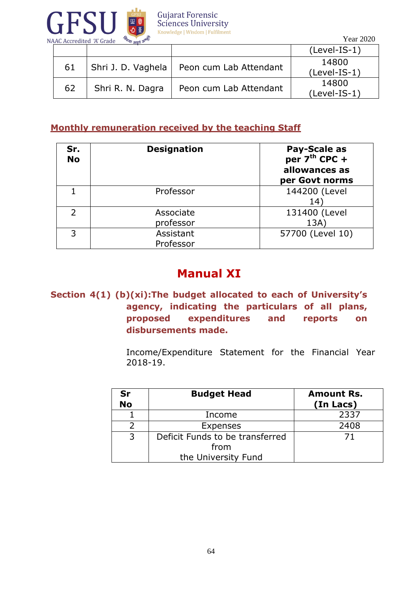

 $\sqrt{Var 2020}$ 

| NAAC Accredited 'A Grade'<br>$447$ $34\pi$ $31$<br>$L \text{cm} \sim L \text{cm}$ |                    |                        |                         |
|-----------------------------------------------------------------------------------|--------------------|------------------------|-------------------------|
|                                                                                   |                    |                        | $(Level-IS-1)$          |
| 61                                                                                | Shri J. D. Vaghela | Peon cum Lab Attendant | 14800<br>$(Level-IS-1)$ |
| 62                                                                                | Shri R. N. Dagra   | Peon cum Lab Attendant | 14800<br>$(Level-IS-1)$ |

#### **Monthly remuneration received by the teaching Staff**

| Sr.<br><b>No</b>         | <b>Designation</b>     | <b>Pay-Scale as</b><br>per 7 <sup>th</sup> CPC +<br>allowances as<br>per Govt norms |
|--------------------------|------------------------|-------------------------------------------------------------------------------------|
|                          | Professor              | 144200 (Level<br>14                                                                 |
| $\overline{\phantom{0}}$ | Associate<br>professor | 131400 (Level<br>13A)                                                               |
| 3                        | Assistant<br>Professor | 57700 (Level 10)                                                                    |

# **Manual XI**

## **Section 4(1) (b)(xi):The budget allocated to each of University's agency, indicating the particulars of all plans, proposed expenditures and reports on disbursements made.**

Income/Expenditure Statement for the Financial Year 2018-19.

| Sr<br><b>No</b> | <b>Budget Head</b>                      | <b>Amount Rs.</b><br>(In Lacs) |
|-----------------|-----------------------------------------|--------------------------------|
|                 | Income                                  | 2337                           |
|                 | Expenses                                | 2408                           |
| 3               | Deficit Funds to be transferred<br>from | 71                             |
|                 | the University Fund                     |                                |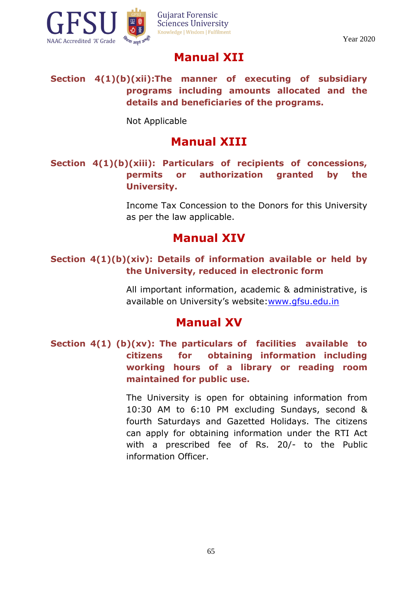

# **Manual XII**

**Section 4(1)(b)(xii):The manner of executing of subsidiary programs including amounts allocated and the details and beneficiaries of the programs.**

Not Applicable

# **Manual XIII**

## **Section 4(1)(b)(xiii): Particulars of recipients of concessions, permits or authorization granted by the University.**

Income Tax Concession to the Donors for this University as per the law applicable.

# **Manual XIV**

## **Section 4(1)(b)(xiv): Details of information available or held by the University, reduced in electronic form**

All important information, academic & administrative, is available on University's website: [www.gfsu.edu.in](http://www.gfsu.edu.in/)

## **Manual XV**

**Section 4(1) (b)(xv): The particulars of facilities available to citizens for obtaining information including working hours of a library or reading room maintained for public use.**

> The University is open for obtaining information from 10:30 AM to 6:10 PM excluding Sundays, second & fourth Saturdays and Gazetted Holidays. The citizens can apply for obtaining information under the RTI Act with a prescribed fee of Rs. 20/- to the Public information Officer.